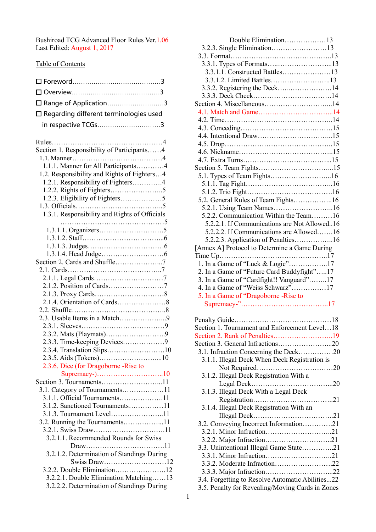Bushiroad TCG Advanced Floor Rules Ver.1.06 Last Edited: August 1, 2017

# Table of Contents

| 口 Range of Application3                                                                                                                   |
|-------------------------------------------------------------------------------------------------------------------------------------------|
| $\square$ Regarding different terminologies used                                                                                          |
| in respective TCGs3                                                                                                                       |
|                                                                                                                                           |
| Rules<br>Section 1. Responsibility of Participants4<br>1.1.1. Manner for All Participants4<br>1.2. Responsibility and Rights of Fighters4 |
| 1.2.1. Responsibility of Fighters4                                                                                                        |
|                                                                                                                                           |
| 1.2.3. Eligibility of Fighters5                                                                                                           |
| 1.3.1. Responsibility and Rights of Officials                                                                                             |
|                                                                                                                                           |
|                                                                                                                                           |
|                                                                                                                                           |
|                                                                                                                                           |
| Section 2. Cards and Shuffle7                                                                                                             |
|                                                                                                                                           |
|                                                                                                                                           |
|                                                                                                                                           |
|                                                                                                                                           |
|                                                                                                                                           |
|                                                                                                                                           |
|                                                                                                                                           |
| 2.3.3. Time-keeping Devices9                                                                                                              |
|                                                                                                                                           |
|                                                                                                                                           |
| 2.3.6. Dice (for Dragoborne -Rise to                                                                                                      |
| Section 3. Tournaments11                                                                                                                  |
| 3.1. Category of Tournaments11                                                                                                            |
| 3.1.1. Official Tournaments11                                                                                                             |
| 3.1.2. Sanctioned Tournaments11<br>3.1.3. Tournament Level11                                                                              |
| 3.2. Running the Tournaments11                                                                                                            |
|                                                                                                                                           |
| 3.2.1.1. Recommended Rounds for Swiss                                                                                                     |
|                                                                                                                                           |
| 3.2.1.2. Determination of Standings During<br>Swiss Draw12                                                                                |
| 3.2.2. Double Elimination12                                                                                                               |
| 3.2.2.1. Double Elimination Matching13                                                                                                    |
| 3.2.2.2. Determination of Standings During                                                                                                |

| Double Elimination13                          |
|-----------------------------------------------|
| 3.2.3. Single Elimination13                   |
|                                               |
|                                               |
| 3.3.1.1. Constructed Battles13                |
| 3.3.1.2. Limited Battles13                    |
| 3.3.2. Registering the Deck14                 |
|                                               |
| Section 4. Miscellaneous14                    |
|                                               |
|                                               |
|                                               |
|                                               |
|                                               |
|                                               |
|                                               |
|                                               |
| 5.1. Types of Team Fights16                   |
|                                               |
|                                               |
| 5.2. General Rules of Team Fights16           |
| 5.2.1. Using Team Names16                     |
| 5.2.2. Communication Within the Team16        |
| 5.2.2.1. If Communications are Not Allowed16  |
| 5.2.2.2. If Communications are Allowed16      |
| 5.2.2.3. Application of Penalties16           |
| [Annex A] Protocol to Determine a Game During |
|                                               |
|                                               |
|                                               |
| 1. In a Game of "Luck & Logic"17              |
| 2. In a Game of "Future Card Buddyfight"17    |
| 3. In a Game of "Cardfight!! Vanguard"17      |
| 4. In a Game of "Weiss Schwarz"17             |
| 5. In a Game of "Dragoborne -Rise to          |
|                                               |
|                                               |
| .18<br>Penalty Guide                          |
| Section 1. Tournament and Enforcement Level18 |
|                                               |
| Section 3. General Infractions20              |
| 3.1. Infraction Concerning the Deck20         |
| 3.1.1. Illegal Deck When Deck Registration is |
|                                               |
| 3.1.2. Illegal Deck Registration With a       |
|                                               |
| 3.1.3. Illegal Deck With a Legal Deck         |
|                                               |
| 3.1.4. Illegal Deck Registration With an      |
|                                               |
| 3.2. Conveying Incorrect Information21        |
|                                               |
|                                               |
| 3.3. Unintentional Illegal Game State21       |
|                                               |
| 3.3.2. Moderate Infraction22                  |

- 3.4. Forgetting to Resolve Automatic Abilities...22
- 3.5. Penalty for Revealing/Moving Cards in Zones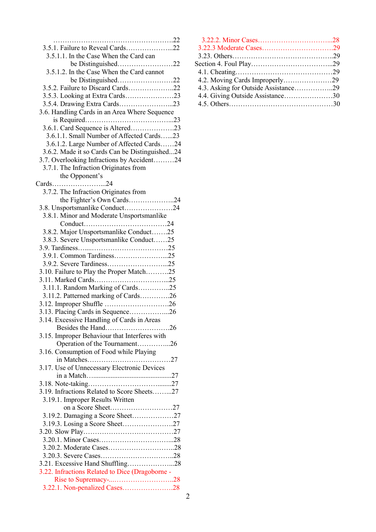| 3.5.1. Failure to Reveal Cards22                |
|-------------------------------------------------|
| 3.5.1.1. In the Case When the Card can          |
|                                                 |
| 3.5.1.2. In the Case When the Card cannot       |
| be Distinguished22                              |
| 3.5.2. Failure to Discard Cards22               |
|                                                 |
|                                                 |
| 3.6. Handling Cards in an Area Where Sequence   |
|                                                 |
| 3.6.1. Card Sequence is Altered23               |
|                                                 |
| 3.6.1.1. Small Number of Affected Cards23       |
| 3.6.1.2. Large Number of Affected Cards24       |
| 3.6.2. Made it so Cards Can be Distinguished24  |
| 3.7. Overlooking Infractions by Accident24      |
| 3.7.1. The Infraction Originates from           |
| the Opponent's                                  |
| Cards24                                         |
| 3.7.2. The Infraction Originates from           |
| the Fighter's Own Cards24                       |
| 3.8. Unsportsmanlike Conduct24                  |
| 3.8.1. Minor and Moderate Unsportsmanlike       |
|                                                 |
| 3.8.2. Major Unsportsmanlike Conduct25          |
| 3.8.3. Severe Unsportsmanlike Conduct25         |
|                                                 |
| 3.9.1. Common Tardiness25                       |
| 3.9.2. Severe Tardiness25                       |
| 3.10. Failure to Play the Proper Match25        |
|                                                 |
| 3.11.1. Random Marking of Cards25               |
| 3.11.2. Patterned marking of Cards26            |
| 3.12. Improper Shuffle 26                       |
| 3.13. Placing Cards in Sequence26               |
| 3.14. Excessive Handling of Cards in Areas      |
| Besides the Hand26                              |
| 3.15. Improper Behaviour that Interferes with   |
| Operation of the Tournament26                   |
| 3.16. Consumption of Food while Playing         |
|                                                 |
| 3.17. Use of Unnecessary Electronic Devices     |
|                                                 |
|                                                 |
| 3.19. Infractions Related to Score Sheets27     |
| 3.19.1. Improper Results Written                |
| on a Score Sheet27                              |
|                                                 |
| 3.19.3. Losing a Score Sheet27                  |
|                                                 |
|                                                 |
|                                                 |
|                                                 |
|                                                 |
| 3.21. Excessive Hand Shuffling28                |
| 3.22. Infractions Related to Dice (Dragoborne - |
|                                                 |
|                                                 |
|                                                 |

| $^{22}$      |                                      |  |
|--------------|--------------------------------------|--|
| $^{22}$      |                                      |  |
|              |                                      |  |
| $22^{\circ}$ |                                      |  |
|              |                                      |  |
| $^{22}$      |                                      |  |
| $^{22}$      | 4.3. Asking for Outside Assistance29 |  |
| 23           | 4.4. Giving Outside Assistance30     |  |
| 23           |                                      |  |
|              |                                      |  |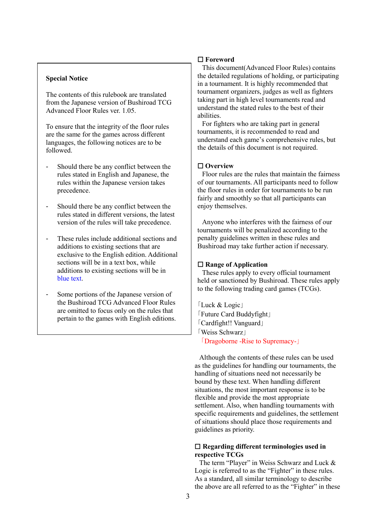# **Special Notice**

The contents of this rulebook are translated from the Japanese version of Bushiroad TCG Advanced Floor Rules ver. 1.05.

To ensure that the integrity of the floor rules are the same for the games across different languages, the following notices are to be followed.

- Should there be any conflict between the rules stated in English and Japanese, the rules within the Japanese version takes precedence.
- Should there be any conflict between the rules stated in different versions, the latest version of the rules will take precedence.
- These rules include additional sections and additions to existing sections that are exclusive to the English edition. Additional sections will be in a text box, while additions to existing sections will be in blue text.
- Some portions of the Japanese version of the Bushiroad TCG Advanced Floor Rules are omitted to focus only on the rules that pertain to the games with English editions.

# ☐ **Foreword**

This document(Advanced Floor Rules) contains the detailed regulations of holding, or participating in a tournament. It is highly recommended that tournament organizers, judges as well as fighters taking part in high level tournaments read and understand the stated rules to the best of their abilities.

For fighters who are taking part in general tournaments, it is recommended to read and understand each game's comprehensive rules, but the details of this document is not required.

# ☐ **Overview**

Floor rules are the rules that maintain the fairness of our tournaments. All participants need to follow the floor rules in order for tournaments to be run fairly and smoothly so that all participants can enjoy themselves.

Anyone who interferes with the fairness of our tournaments will be penalized according to the penalty guidelines written in these rules and Bushiroad may take further action if necessary.

#### ☐ **Range of Application**

These rules apply to every official tournament held or sanctioned by Bushiroad. These rules apply to the following trading card games (TCGs).

「Luck & Logic」 「Future Card Buddyfight」 「Cardfight!! Vanguard」 「Weiss Schwarz」 「Dragoborne -Rise to Supremacy-」

Although the contents of these rules can be used as the guidelines for handling our tournaments, the handling of situations need not necessarily be bound by these text. When handling different situations, the most important response is to be flexible and provide the most appropriate settlement. Also, when handling tournaments with specific requirements and guidelines, the settlement of situations should place those requirements and guidelines as priority.

# ☐ **Regarding different terminologies used in respective TCGs**

The term "Player" in Weiss Schwarz and Luck & Logic is referred to as the "Fighter" in these rules. As a standard, all similar terminology to describe the above are all referred to as the "Fighter" in these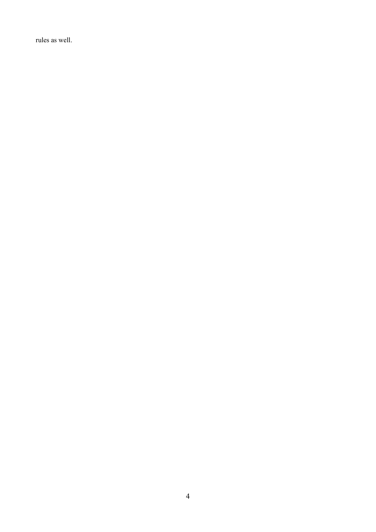rules as well.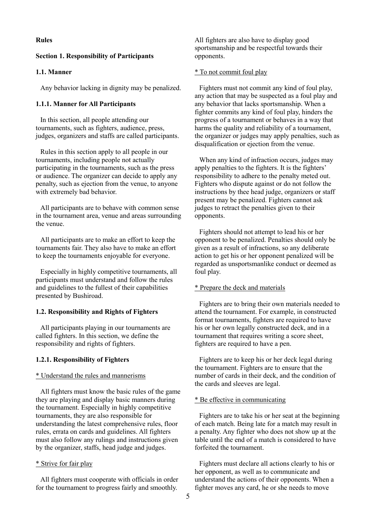# **Rules**

#### **Section 1. Responsibility of Participants**

### **1.1. Manner**

Any behavior lacking in dignity may be penalized.

### **1.1.1. Manner for All Participants**

In this section, all people attending our tournaments, such as fighters, audience, press, judges, organizers and staffs are called participants.

Rules in this section apply to all people in our tournaments, including people not actually participating in the tournaments, such as the press or audience. The organizer can decide to apply any penalty, such as ejection from the venue, to anyone with extremely bad behavior.

All participants are to behave with common sense in the tournament area, venue and areas surrounding the venue.

All participants are to make an effort to keep the tournaments fair. They also have to make an effort to keep the tournaments enjoyable for everyone.

Especially in highly competitive tournaments, all participants must understand and follow the rules and guidelines to the fullest of their capabilities presented by Bushiroad.

#### **1.2. Responsibility and Rights of Fighters**

All participants playing in our tournaments are called fighters. In this section, we define the responsibility and rights of fighters.

#### **1.2.1. Responsibility of Fighters**

#### \* Understand the rules and mannerisms

All fighters must know the basic rules of the game they are playing and display basic manners during the tournament. Especially in highly competitive tournaments, they are also responsible for understanding the latest comprehensive rules, floor rules, errata on cards and guidelines. All fighters must also follow any rulings and instructions given by the organizer, staffs, head judge and judges.

#### \* Strive for fair play

All fighters must cooperate with officials in order for the tournament to progress fairly and smoothly.

All fighters are also have to display good sportsmanship and be respectful towards their opponents.

#### \* To not commit foul play

Fighters must not commit any kind of foul play, any action that may be suspected as a foul play and any behavior that lacks sportsmanship. When a fighter commits any kind of foul play, hinders the progress of a tournament or behaves in a way that harms the quality and reliability of a tournament, the organizer or judges may apply penalties, such as disqualification or ejection from the venue.

When any kind of infraction occurs, judges may apply penalties to the fighters. It is the fighters' responsibility to adhere to the penalty meted out. Fighters who dispute against or do not follow the instructions by thee head judge, organizers or staff present may be penalized. Fighters cannot ask judges to retract the penalties given to their opponents.

Fighters should not attempt to lead his or her opponent to be penalized. Penalties should only be given as a result of infractions, so any deliberate action to get his or her opponent penalized will be regarded as unsportsmanlike conduct or deemed as foul play.

# \* Prepare the deck and materials

Fighters are to bring their own materials needed to attend the tournament. For example, in constructed format tournaments, fighters are required to have his or her own legally constructed deck, and in a tournament that requires writing a score sheet, fighters are required to have a pen.

Fighters are to keep his or her deck legal during the tournament. Fighters are to ensure that the number of cards in their deck, and the condition of the cards and sleeves are legal.

#### \* Be effective in communicating

Fighters are to take his or her seat at the beginning of each match. Being late for a match may result in a penalty. Any fighter who does not show up at the table until the end of a match is considered to have forfeited the tournament.

Fighters must declare all actions clearly to his or her opponent, as well as to communicate and understand the actions of their opponents. When a fighter moves any card, he or she needs to move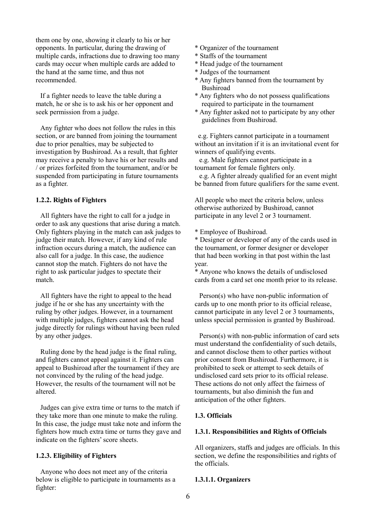them one by one, showing it clearly to his or her opponents. In particular, during the drawing of multiple cards, infractions due to drawing too many cards may occur when multiple cards are added to the hand at the same time, and thus not recommended.

If a fighter needs to leave the table during a match, he or she is to ask his or her opponent and seek permission from a judge.

Any fighter who does not follow the rules in this section, or are banned from joining the tournament due to prior penalties, may be subjected to investigation by Bushiroad. As a result, that fighter may receive a penalty to have his or her results and / or prizes forfeited from the tournament, and/or be suspended from participating in future tournaments as a fighter.

## **1.2.2. Rights of Fighters**

All fighters have the right to call for a judge in order to ask any questions that arise during a match. Only fighters playing in the match can ask judges to judge their match. However, if any kind of rule infraction occurs during a match, the audience can also call for a judge. In this case, the audience cannot stop the match. Fighters do not have the right to ask particular judges to spectate their match.

All fighters have the right to appeal to the head judge if he or she has any uncertainty with the ruling by other judges. However, in a tournament with multiple judges, fighters cannot ask the head judge directly for rulings without having been ruled by any other judges.

Ruling done by the head judge is the final ruling, and fighters cannot appeal against it. Fighters can appeal to Bushiroad after the tournament if they are not convinced by the ruling of the head judge. However, the results of the tournament will not be altered.

Judges can give extra time or turns to the match if they take more than one minute to make the ruling. In this case, the judge must take note and inform the fighters how much extra time or turns they gave and indicate on the fighters' score sheets.

### **1.2.3. Eligibility of Fighters**

Anyone who does not meet any of the criteria below is eligible to participate in tournaments as a fighter:

- \* Organizer of the tournament
- \* Staffs of the tournament
- \* Head judge of the tournament
- \* Judges of the tournament
- \* Any fighters banned from the tournament by Bushiroad
- \* Any fighters who do not possess qualifications required to participate in the tournament
- \* Any fighter asked not to participate by any other guidelines from Bushiroad.

e.g. Fighters cannot participate in a tournament without an invitation if it is an invitational event for winners of qualifying events.

e.g. Male fighters cannot participate in a tournament for female fighters only.

e.g. A fighter already qualified for an event might be banned from future qualifiers for the same event.

All people who meet the criteria below, unless otherwise authorized by Bushiroad, cannot participate in any level 2 or 3 tournament.

\* Employee of Bushiroad.

\* Designer or developer of any of the cards used in the tournament, or former designer or developer that had been working in that post within the last year.

\* Anyone who knows the details of undisclosed cards from a card set one month prior to its release.

Person(s) who have non-public information of cards up to one month prior to its official release, cannot participate in any level 2 or 3 tournaments, unless special permission is granted by Bushiroad.

Person(s) with non-public information of card sets must understand the confidentiality of such details, and cannot disclose them to other parties without prior consent from Bushiroad. Furthermore, it is prohibited to seek or attempt to seek details of undisclosed card sets prior to its official release. These actions do not only affect the fairness of tournaments, but also diminish the fun and anticipation of the other fighters.

### **1.3. Officials**

# **1.3.1. Responsibilities and Rights of Officials**

All organizers, staffs and judges are officials. In this section, we define the responsibilities and rights of the officials.

#### **1.3.1.1. Organizers**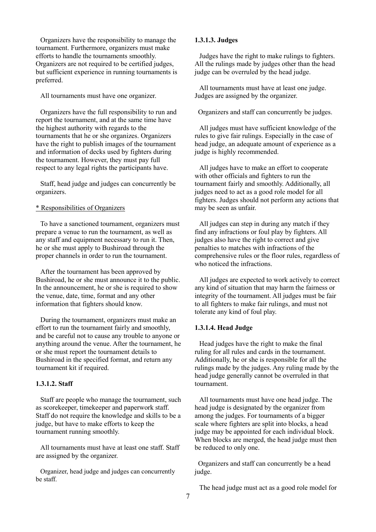Organizers have the responsibility to manage the tournament. Furthermore, organizers must make efforts to handle the tournaments smoothly. Organizers are not required to be certified judges, but sufficient experience in running tournaments is preferred.

All tournaments must have one organizer.

Organizers have the full responsibility to run and report the tournament, and at the same time have the highest authority with regards to the tournaments that he or she organizes. Organizers have the right to publish images of the tournament and information of decks used by fighters during the tournament. However, they must pay full respect to any legal rights the participants have.

Staff, head judge and judges can concurrently be organizers.

# \* Responsibilities of Organizers

To have a sanctioned tournament, organizers must prepare a venue to run the tournament, as well as any staff and equipment necessary to run it. Then, he or she must apply to Bushiroad through the proper channels in order to run the tournament.

After the tournament has been approved by Bushiroad, he or she must announce it to the public. In the announcement, he or she is required to show the venue, date, time, format and any other information that fighters should know.

During the tournament, organizers must make an effort to run the tournament fairly and smoothly, and be careful not to cause any trouble to anyone or anything around the venue. After the tournament, he or she must report the tournament details to Bushiroad in the specified format, and return any tournament kit if required.

### **1.3.1.2. Staff**

Staff are people who manage the tournament, such as scorekeeper, timekeeper and paperwork staff. Staff do not require the knowledge and skills to be a judge, but have to make efforts to keep the tournament running smoothly.

All tournaments must have at least one staff. Staff are assigned by the organizer.

Organizer, head judge and judges can concurrently be staff.

### **1.3.1.3. Judges**

Judges have the right to make rulings to fighters. All the rulings made by judges other than the head judge can be overruled by the head judge.

All tournaments must have at least one judge. Judges are assigned by the organizer.

Organizers and staff can concurrently be judges.

All judges must have sufficient knowledge of the rules to give fair rulings. Especially in the case of head judge, an adequate amount of experience as a judge is highly recommended.

All judges have to make an effort to cooperate with other officials and fighters to run the tournament fairly and smoothly. Additionally, all judges need to act as a good role model for all fighters. Judges should not perform any actions that may be seen as unfair.

All judges can step in during any match if they find any infractions or foul play by fighters. All judges also have the right to correct and give penalties to matches with infractions of the comprehensive rules or the floor rules, regardless of who noticed the infractions.

All judges are expected to work actively to correct any kind of situation that may harm the fairness or integrity of the tournament. All judges must be fair to all fighters to make fair rulings, and must not tolerate any kind of foul play.

## **1.3.1.4. Head Judge**

Head judges have the right to make the final ruling for all rules and cards in the tournament. Additionally, he or she is responsible for all the rulings made by the judges. Any ruling made by the head judge generally cannot be overruled in that tournament.

All tournaments must have one head judge. The head judge is designated by the organizer from among the judges. For tournaments of a bigger scale where fighters are split into blocks, a head judge may be appointed for each individual block. When blocks are merged, the head judge must then be reduced to only one.

Organizers and staff can concurrently be a head judge.

The head judge must act as a good role model for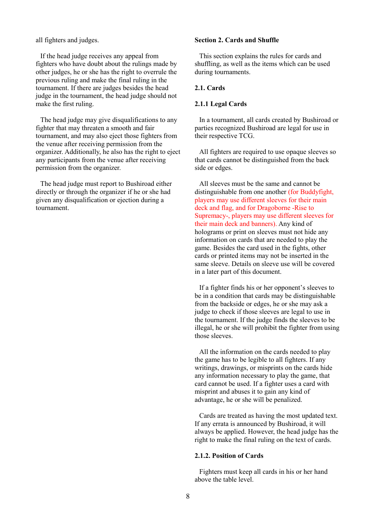all fighters and judges.

If the head judge receives any appeal from fighters who have doubt about the rulings made by other judges, he or she has the right to overrule the previous ruling and make the final ruling in the tournament. If there are judges besides the head judge in the tournament, the head judge should not make the first ruling.

The head judge may give disqualifications to any fighter that may threaten a smooth and fair tournament, and may also eject those fighters from the venue after receiving permission from the organizer. Additionally, he also has the right to eject any participants from the venue after receiving permission from the organizer.

The head judge must report to Bushiroad either directly or through the organizer if he or she had given any disqualification or ejection during a tournament.

# **Section 2. Cards and Shuffle**

This section explains the rules for cards and shuffling, as well as the items which can be used during tournaments.

### **2.1. Cards**

### **2.1.1 Legal Cards**

In a tournament, all cards created by Bushiroad or parties recognized Bushiroad are legal for use in their respective TCG.

All fighters are required to use opaque sleeves so that cards cannot be distinguished from the back side or edges.

All sleeves must be the same and cannot be distinguishable from one another (for Buddyfight, players may use different sleeves for their main deck and flag, and for Dragoborne -Rise to Supremacy-, players may use different sleeves for their main deck and banners). Any kind of holograms or print on sleeves must not hide any information on cards that are needed to play the game. Besides the card used in the fights, other cards or printed items may not be inserted in the same sleeve. Details on sleeve use will be covered in a later part of this document.

If a fighter finds his or her opponent's sleeves to be in a condition that cards may be distinguishable from the backside or edges, he or she may ask a judge to check if those sleeves are legal to use in the tournament. If the judge finds the sleeves to be illegal, he or she will prohibit the fighter from using those sleeves.

All the information on the cards needed to play the game has to be legible to all fighters. If any writings, drawings, or misprints on the cards hide any information necessary to play the game, that card cannot be used. If a fighter uses a card with misprint and abuses it to gain any kind of advantage, he or she will be penalized.

Cards are treated as having the most updated text. If any errata is announced by Bushiroad, it will always be applied. However, the head judge has the right to make the final ruling on the text of cards.

### **2.1.2. Position of Cards**

Fighters must keep all cards in his or her hand above the table level.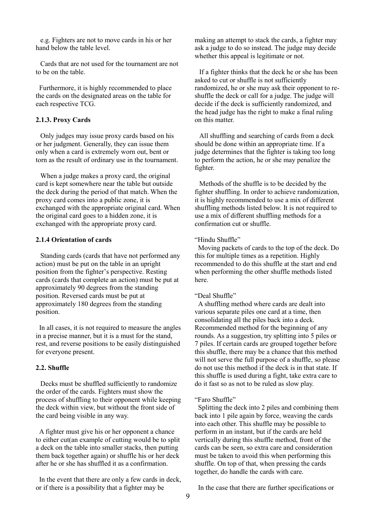e.g. Fighters are not to move cards in his or her hand below the table level.

Cards that are not used for the tournament are not to be on the table.

Furthermore, it is highly recommended to place the cards on the designated areas on the table for each respective TCG.

## **2.1.3. Proxy Cards**

Only judges may issue proxy cards based on his or her judgment. Generally, they can issue them only when a card is extremely worn out, bent or torn as the result of ordinary use in the tournament.

When a judge makes a proxy card, the original card is kept somewhere near the table but outside the deck during the period of that match. When the proxy card comes into a public zone, it is exchanged with the appropriate original card. When the original card goes to a hidden zone, it is exchanged with the appropriate proxy card.

# **2.1.4 Orientation of cards**

Standing cards (cards that have not performed any action) must be put on the table in an upright position from the fighter's perspective. Resting cards (cards that complete an action) must be put at approximately 90 degrees from the standing position. Reversed cards must be put at approximately 180 degrees from the standing position.

In all cases, it is not required to measure the angles in a precise manner, but it is a must for the stand, rest, and reverse positions to be easily distinguished for everyone present.

#### **2.2. Shuffle**

Decks must be shuffled sufficiently to randomize the order of the cards. Fighters must show the process of shuffling to their opponent while keeping the deck within view, but without the front side of the card being visible in any way.

A fighter must give his or her opponent a chance to either cut(an example of cutting would be to split a deck on the table into smaller stacks, then putting them back together again) or shuffle his or her deck after he or she has shuffled it as a confirmation.

In the event that there are only a few cards in deck, or if there is a possibility that a fighter may be

making an attempt to stack the cards, a fighter may ask a judge to do so instead. The judge may decide whether this appeal is legitimate or not.

If a fighter thinks that the deck he or she has been asked to cut or shuffle is not sufficiently randomized, he or she may ask their opponent to reshuffle the deck or call for a judge. The judge will decide if the deck is sufficiently randomized, and the head judge has the right to make a final ruling on this matter.

All shuffling and searching of cards from a deck should be done within an appropriate time. If a judge determines that the fighter is taking too long to perform the action, he or she may penalize the fighter.

Methods of the shuffle is to be decided by the fighter shuffling. In order to achieve randomization, it is highly recommended to use a mix of different shuffling methods listed below. It is not required to use a mix of different shuffling methods for a confirmation cut or shuffle.

### "Hindu Shuffle"

Moving packets of cards to the top of the deck. Do this for multiple times as a repetition. Highly recommended to do this shuffle at the start and end when performing the other shuffle methods listed here.

### "Deal Shuffle"

A shuffling method where cards are dealt into various separate piles one card at a time, then consolidating all the piles back into a deck. Recommended method for the beginning of any rounds. As a suggestion, try splitting into 5 piles or 7 piles. If certain cards are grouped together before this shuffle, there may be a chance that this method will not serve the full purpose of a shuffle, so please do not use this method if the deck is in that state. If this shuffle is used during a fight, take extra care to do it fast so as not to be ruled as slow play.

#### "Faro Shuffle"

Splitting the deck into 2 piles and combining them back into 1 pile again by force, weaving the cards into each other. This shuffle may be possible to perform in an instant, but if the cards are held vertically during this shuffle method, front of the cards can be seen, so extra care and consideration must be taken to avoid this when performing this shuffle. On top of that, when pressing the cards together, do handle the cards with care.

In the case that there are further specifications or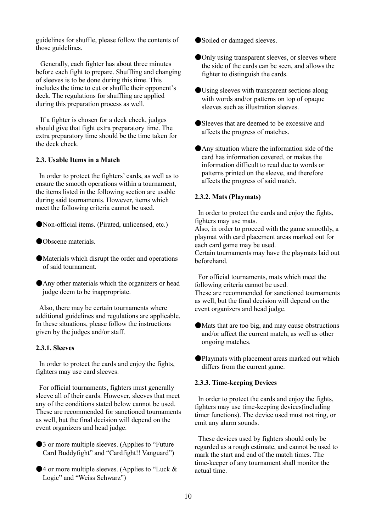guidelines for shuffle, please follow the contents of those guidelines.

Generally, each fighter has about three minutes before each fight to prepare. Shuffling and changing of sleeves is to be done during this time. This includes the time to cut or shuffle their opponent's deck. The regulations for shuffling are applied during this preparation process as well.

If a fighter is chosen for a deck check, judges should give that fight extra preparatory time. The extra preparatory time should be the time taken for the deck check.

## **2.3. Usable Items in a Match**

In order to protect the fighters' cards, as well as to ensure the smooth operations within a tournament, the items listed in the following section are usable during said tournaments. However, items which meet the following criteria cannot be used.

●Non-official items. (Pirated, unlicensed, etc.)

- ●Obscene materials.
- ●Materials which disrupt the order and operations of said tournament.
- **Any other materials which the organizers or head** judge deem to be inappropriate.

Also, there may be certain tournaments where additional guidelines and regulations are applicable. In these situations, please follow the instructions given by the judges and/or staff.

### **2.3.1. Sleeves**

In order to protect the cards and enjoy the fights, fighters may use card sleeves.

For official tournaments, fighters must generally sleeve all of their cards. However, sleeves that meet any of the conditions stated below cannot be used. These are recommended for sanctioned tournaments as well, but the final decision will depend on the event organizers and head judge.

- ●3 or more multiple sleeves. (Applies to "Future Card Buddyfight" and "Cardfight!! Vanguard")
- $\blacktriangleright$  4 or more multiple sleeves. (Applies to "Luck & Logic" and "Weiss Schwarz")
- ●Soiled or damaged sleeves.
- **Only using transparent sleeves, or sleeves where**  the side of the cards can be seen, and allows the fighter to distinguish the cards.
- ●Using sleeves with transparent sections along with words and/or patterns on top of opaque sleeves such as illustration sleeves.
- ●Sleeves that are deemed to be excessive and affects the progress of matches.
- ●Any situation where the information side of the card has information covered, or makes the information difficult to read due to words or patterns printed on the sleeve, and therefore affects the progress of said match.

# **2.3.2. Mats (Playmats)**

In order to protect the cards and enjoy the fights, fighters may use mats.

Also, in order to proceed with the game smoothly, a playmat with card placement areas marked out for each card game may be used.

Certain tournaments may have the playmats laid out beforehand.

For official tournaments, mats which meet the following criteria cannot be used.

These are recommended for sanctioned tournaments as well, but the final decision will depend on the event organizers and head judge.

- ●Mats that are too big, and may cause obstructions and/or affect the current match, as well as other ongoing matches.
- ●Playmats with placement areas marked out which differs from the current game.

### **2.3.3. Time-keeping Devices**

In order to protect the cards and enjoy the fights, fighters may use time-keeping devices(including timer functions). The device used must not ring, or emit any alarm sounds.

These devices used by fighters should only be regarded as a rough estimate, and cannot be used to mark the start and end of the match times. The time-keeper of any tournament shall monitor the actual time.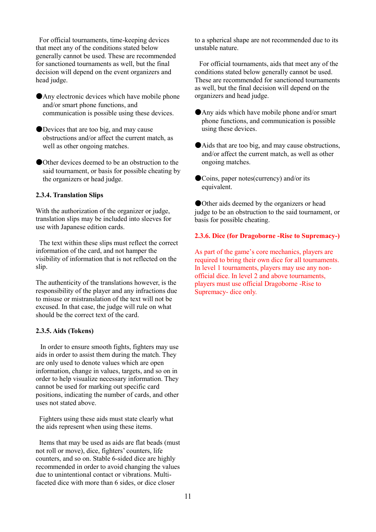For official tournaments, time-keeping devices that meet any of the conditions stated below generally cannot be used. These are recommended for sanctioned tournaments as well, but the final decision will depend on the event organizers and head judge.

●Any electronic devices which have mobile phone and/or smart phone functions, and communication is possible using these devices.

●Devices that are too big, and may cause obstructions and/or affect the current match, as well as other ongoing matches.

●Other devices deemed to be an obstruction to the said tournament, or basis for possible cheating by the organizers or head judge.

# **2.3.4. Translation Slips**

With the authorization of the organizer or judge, translation slips may be included into sleeves for use with Japanese edition cards.

The text within these slips must reflect the correct information of the card, and not hamper the visibility of information that is not reflected on the slip.

The authenticity of the translations however, is the responsibility of the player and any infractions due to misuse or mistranslation of the text will not be excused. In that case, the judge will rule on what should be the correct text of the card.

## **2.3.5. Aids (Tokens)**

In order to ensure smooth fights, fighters may use aids in order to assist them during the match. They are only used to denote values which are open information, change in values, targets, and so on in order to help visualize necessary information. They cannot be used for marking out specific card positions, indicating the number of cards, and other uses not stated above.

Fighters using these aids must state clearly what the aids represent when using these items.

Items that may be used as aids are flat beads (must not roll or move), dice, fighters' counters, life counters, and so on. Stable 6-sided dice are highly recommended in order to avoid changing the values due to unintentional contact or vibrations. Multifaceted dice with more than 6 sides, or dice closer

to a spherical shape are not recommended due to its unstable nature.

For official tournaments, aids that meet any of the conditions stated below generally cannot be used. These are recommended for sanctioned tournaments as well, but the final decision will depend on the organizers and head judge.

- ●Any aids which have mobile phone and/or smart phone functions, and communication is possible using these devices.
- ●Aids that are too big, and may cause obstructions, and/or affect the current match, as well as other ongoing matches.
- ●Coins, paper notes(currency) and/or its equivalent.

●Other aids deemed by the organizers or head judge to be an obstruction to the said tournament, or basis for possible cheating.

### **2.3.6. Dice (for Dragoborne -Rise to Supremacy-)**

As part of the game's core mechanics, players are required to bring their own dice for all tournaments. In level 1 tournaments, players may use any nonofficial dice. In level 2 and above tournaments, players must use official Dragoborne -Rise to Supremacy- dice only.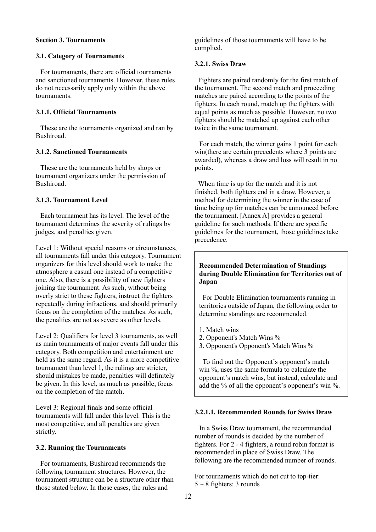# **Section 3. Tournaments**

#### **3.1. Category of Tournaments**

For tournaments, there are official tournaments and sanctioned tournaments. However, these rules do not necessarily apply only within the above tournaments.

### **3.1.1. Official Tournaments**

These are the tournaments organized and ran by Bushiroad.

# **3.1.2. Sanctioned Tournaments**

These are the tournaments held by shops or tournament organizers under the permission of Bushiroad.

# **3.1.3. Tournament Level**

Each tournament has its level. The level of the tournament determines the severity of rulings by judges, and penalties given.

Level 1: Without special reasons or circumstances, all tournaments fall under this category. Tournament organizers for this level should work to make the atmosphere a casual one instead of a competitive one. Also, there is a possibility of new fighters joining the tournament. As such, without being overly strict to these fighters, instruct the fighters repeatedly during infractions, and should primarily focus on the completion of the matches. As such, the penalties are not as severe as other levels.

Level 2: Qualifiers for level 3 tournaments, as well as main tournaments of major events fall under this category. Both competition and entertainment are held as the same regard. As it is a more competitive tournament than level 1, the rulings are stricter, should mistakes be made, penalties will definitely be given. In this level, as much as possible, focus on the completion of the match.

Level 3: Regional finals and some official tournaments will fall under this level. This is the most competitive, and all penalties are given strictly.

# **3.2. Running the Tournaments**

For tournaments, Bushiroad recommends the following tournament structures. However, the tournament structure can be a structure other than those stated below. In those cases, the rules and

guidelines of those tournaments will have to be complied.

#### **3.2.1. Swiss Draw**

Fighters are paired randomly for the first match of the tournament. The second match and proceeding matches are paired according to the points of the fighters. In each round, match up the fighters with equal points as much as possible. However, no two fighters should be matched up against each other twice in the same tournament.

For each match, the winner gains 1 point for each win(there are certain precedents where 3 points are awarded), whereas a draw and loss will result in no points.

When time is up for the match and it is not finished, both fighters end in a draw. However, a method for determining the winner in the case of time being up for matches can be announced before the tournament. [Annex A] provides a general guideline for such methods. If there are specific guidelines for the tournament, those guidelines take precedence.

# **Recommended Determination of Standings during Double Elimination for Territories out of Japan**

For Double Elimination tournaments running in territories outside of Japan, the following order to determine standings are recommended.

- 1. Match wins
- 2. Opponent's Match Wins %
- 3. Opponent's Opponent's Match Wins %

To find out the Opponent's opponent's match win %, uses the same formula to calculate the opponent's match wins, but instead, calculate and add the % of all the opponent's opponent's win %.

# **3.2.1.1. Recommended Rounds for Swiss Draw**

In a Swiss Draw tournament, the recommended number of rounds is decided by the number of fighters. For 2 - 4 fighters, a round robin format is recommended in place of Swiss Draw. The following are the recommended number of rounds.

For tournaments which do not cut to top-tier:  $5 \sim 8$  fighters: 3 rounds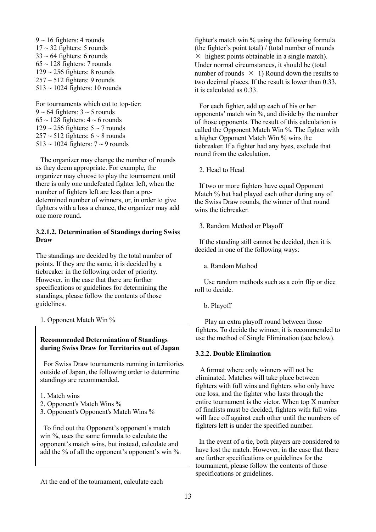$9 \sim 16$  fighters: 4 rounds  $17 \sim 32$  fighters: 5 rounds  $33 \sim 64$  fighters: 6 rounds  $65 \sim 128$  fighters: 7 rounds  $129 \sim 256$  fighters: 8 rounds  $257 \sim 512$  fighters: 9 rounds  $513 \sim 1024$  fighters: 10 rounds

For tournaments which cut to top-tier:  $9 \sim 64$  fighters:  $3 \sim 5$  rounds  $65 \sim 128$  fighters:  $4 \sim 6$  rounds  $129 \sim 256$  fighters:  $5 \sim 7$  rounds  $257 \sim 512$  fighters:  $6 \sim 8$  rounds  $513 \sim 1024$  fighters:  $7 \sim 9$  rounds

The organizer may change the number of rounds as they deem appropriate. For example, the organizer may choose to play the tournament until there is only one undefeated fighter left, when the number of fighters left are less than a predetermined number of winners, or, in order to give fighters with a loss a chance, the organizer may add one more round.

# **3.2.1.2. Determination of Standings during Swiss Draw**

The standings are decided by the total number of points. If they are the same, it is decided by a tiebreaker in the following order of priority. However, in the case that there are further specifications or guidelines for determining the standings, please follow the contents of those guidelines.

1. Opponent Match Win %

# **Recommended Determination of Standings during Swiss Draw for Territories out of Japan**

For Swiss Draw tournaments running in territories outside of Japan, the following order to determine standings are recommended.

- 1. Match wins
- 2. Opponent's Match Wins %
- 3. Opponent's Opponent's Match Wins %

To find out the Opponent's opponent's match win %, uses the same formula to calculate the opponent's match wins, but instead, calculate and add the % of all the opponent's opponent's win %.

At the end of the tournament, calculate each

fighter's match win % using the following formula (the fighter's point total) / (total number of rounds  $\times$  highest points obtainable in a single match). Under normal circumstances, it should be (total number of rounds  $\times$  1) Round down the results to two decimal places. If the result is lower than 0.33, it is calculated as 0.33.

For each fighter, add up each of his or her opponents' match win %, and divide by the number of those opponents. The result of this calculation is called the Opponent Match Win %. The fighter with a higher Opponent Match Win % wins the tiebreaker. If a fighter had any byes, exclude that round from the calculation.

2. Head to Head

If two or more fighters have equal Opponent Match % but had played each other during any of the Swiss Draw rounds, the winner of that round wins the tiebreaker.

# 3. Random Method or Playoff

If the standing still cannot be decided, then it is decided in one of the following ways:

a. Random Method

 Use random methods such as a coin flip or dice roll to decide.

b. Playoff

 Play an extra playoff round between those fighters. To decide the winner, it is recommended to use the method of Single Elimination (see below).

# **3.2.2. Double Elimination**

A format where only winners will not be eliminated. Matches will take place between fighters with full wins and fighters who only have one loss, and the fighter who lasts through the entire tournament is the victor. When top X number of finalists must be decided, fighters with full wins will face off against each other until the numbers of fighters left is under the specified number.

In the event of a tie, both players are considered to have lost the match. However, in the case that there are further specifications or guidelines for the tournament, please follow the contents of those specifications or guidelines.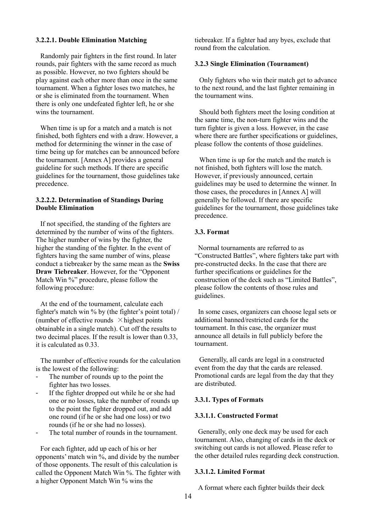### **3.2.2.1. Double Elimination Matching**

Randomly pair fighters in the first round. In later rounds, pair fighters with the same record as much as possible. However, no two fighters should be play against each other more than once in the same tournament. When a fighter loses two matches, he or she is eliminated from the tournament. When there is only one undefeated fighter left, he or she wins the tournament.

When time is up for a match and a match is not finished, both fighters end with a draw. However, a method for determining the winner in the case of time being up for matches can be announced before the tournament. [Annex A] provides a general guideline for such methods. If there are specific guidelines for the tournament, those guidelines take precedence.

## **3.2.2.2. Determination of Standings During Double Elimination**

If not specified, the standing of the fighters are determined by the number of wins of the fighters. The higher number of wins by the fighter, the higher the standing of the fighter. In the event of fighters having the same number of wins, please conduct a tiebreaker by the same mean as the **Swiss Draw Tiebreaker**. However, for the "Opponent Match Win %" procedure, please follow the following procedure:

At the end of the tournament, calculate each fighter's match win % by (the fighter's point total) / (number of effective rounds  $\times$  highest points obtainable in a single match). Cut off the results to two decimal places. If the result is lower than 0.33, it is calculated as 0.33.

The number of effective rounds for the calculation is the lowest of the following:

- The number of rounds up to the point the fighter has two losses.
- If the fighter dropped out while he or she had one or no losses, take the number of rounds up to the point the fighter dropped out, and add one round (if he or she had one loss) or two rounds (if he or she had no losses).
- The total number of rounds in the tournament.

For each fighter, add up each of his or her opponents' match win %, and divide by the number of those opponents. The result of this calculation is called the Opponent Match Win %. The fighter with a higher Opponent Match Win % wins the

tiebreaker. If a fighter had any byes, exclude that round from the calculation.

### **3.2.3 Single Elimination (Tournament)**

Only fighters who win their match get to advance to the next round, and the last fighter remaining in the tournament wins.

Should both fighters meet the losing condition at the same time, the non-turn fighter wins and the turn fighter is given a loss. However, in the case where there are further specifications or guidelines, please follow the contents of those guidelines.

When time is up for the match and the match is not finished, both fighters will lose the match. However, if previously announced, certain guidelines may be used to determine the winner. In those cases, the procedures in [Annex A] will generally be followed. If there are specific guidelines for the tournament, those guidelines take precedence.

### **3.3. Format**

Normal tournaments are referred to as "Constructed Battles", where fighters take part with pre-constructed decks. In the case that there are further specifications or guidelines for the construction of the deck such as "Limited Battles", please follow the contents of those rules and guidelines.

In some cases, organizers can choose legal sets or additional banned/restricted cards for the tournament. In this case, the organizer must announce all details in full publicly before the tournament.

Generally, all cards are legal in a constructed event from the day that the cards are released. Promotional cards are legal from the day that they are distributed.

#### **3.3.1. Types of Formats**

#### **3.3.1.1. Constructed Format**

Generally, only one deck may be used for each tournament. Also, changing of cards in the deck or switching out cards is not allowed. Please refer to the other detailed rules regarding deck construction.

#### **3.3.1.2. Limited Format**

A format where each fighter builds their deck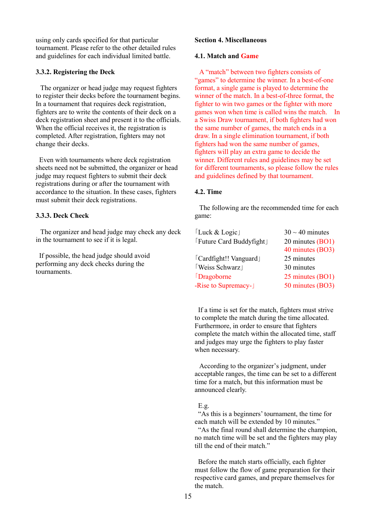using only cards specified for that particular tournament. Please refer to the other detailed rules and guidelines for each individual limited battle.

# **3.3.2. Registering the Deck**

The organizer or head judge may request fighters to register their decks before the tournament begins. In a tournament that requires deck registration, fighters are to write the contents of their deck on a deck registration sheet and present it to the officials. When the official receives it, the registration is completed. After registration, fighters may not change their decks.

Even with tournaments where deck registration sheets need not be submitted, the organizer or head judge may request fighters to submit their deck registrations during or after the tournament with accordance to the situation. In these cases, fighters must submit their deck registrations.

# **3.3.3. Deck Check**

The organizer and head judge may check any deck in the tournament to see if it is legal.

If possible, the head judge should avoid performing any deck checks during the tournaments.

# **Section 4. Miscellaneous**

#### **4.1. Match and Game**

A "match" between two fighters consists of "games" to determine the winner. In a best-of-one format, a single game is played to determine the winner of the match. In a best-of-three format, the fighter to win two games or the fighter with more games won when time is called wins the match. In a Swiss Draw tournament, if both fighters had won the same number of games, the match ends in a draw. In a single elimination tournament, if both fighters had won the same number of games, fighters will play an extra game to decide the winner. Different rules and guidelines may be set for different tournaments, so please follow the rules and guidelines defined by that tournament.

# **4.2. Time**

The following are the recommended time for each game:

| [Luck & Logic]           | $30 \sim 40$ minutes |
|--------------------------|----------------------|
| [Future Card Buddyfight] | 20 minutes (BO1)     |
|                          | 40 minutes (BO3)     |
| [Cardfight!! Vanguard]   | 25 minutes           |
| Weiss Schwarz            | 30 minutes           |
| Dragoborne               | 25 minutes (BO1)     |
| -Rise to Supremacy-      | 50 minutes (BO3)     |
|                          |                      |

If a time is set for the match, fighters must strive to complete the match during the time allocated. Furthermore, in order to ensure that fighters complete the match within the allocated time, staff and judges may urge the fighters to play faster when necessary.

According to the organizer's judgment, under acceptable ranges, the time can be set to a different time for a match, but this information must be announced clearly.

#### E.g.

"As this is a beginners' tournament, the time for each match will be extended by 10 minutes." "As the final round shall determine the champion, no match time will be set and the fighters may play till the end of their match."

Before the match starts officially, each fighter must follow the flow of game preparation for their respective card games, and prepare themselves for the match.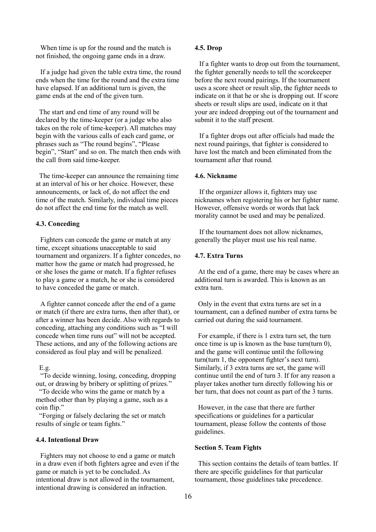When time is up for the round and the match is not finished, the ongoing game ends in a draw.

If a judge had given the table extra time, the round ends when the time for the round and the extra time have elapsed. If an additional turn is given, the game ends at the end of the given turn.

The start and end time of any round will be declared by the time-keeper (or a judge who also takes on the role of time-keeper). All matches may begin with the various calls of each card game, or phrases such as "The round begins", "Please begin", "Start" and so on. The match then ends with the call from said time-keeper.

The time-keeper can announce the remaining time at an interval of his or her choice. However, these announcements, or lack of, do not affect the end time of the match. Similarly, individual time pieces do not affect the end time for the match as well.

### **4.3. Conceding**

Fighters can concede the game or match at any time, except situations unacceptable to said tournament and organizers. If a fighter concedes, no matter how the game or match had progressed, he or she loses the game or match. If a fighter refuses to play a game or a match, he or she is considered to have conceded the game or match.

A fighter cannot concede after the end of a game or match (if there are extra turns, then after that), or after a winner has been decide. Also with regards to conceding, attaching any conditions such as "I will concede when time runs out" will not be accepted. These actions, and any of the following actions are considered as foul play and will be penalized.

E.g.

"To decide winning, losing, conceding, dropping out, or drawing by bribery or splitting of prizes."

"To decide who wins the game or match by a method other than by playing a game, such as a coin flip."

"Forging or falsely declaring the set or match results of single or team fights."

### **4.4. Intentional Draw**

Fighters may not choose to end a game or match in a draw even if both fighters agree and even if the game or match is yet to be concluded. As intentional draw is not allowed in the tournament, intentional drawing is considered an infraction.

### **4.5. Drop**

If a fighter wants to drop out from the tournament, the fighter generally needs to tell the scorekeeper before the next round pairings. If the tournament uses a score sheet or result slip, the fighter needs to indicate on it that he or she is dropping out. If score sheets or result slips are used, indicate on it that your are indeed dropping out of the tournament and submit it to the staff present.

If a fighter drops out after officials had made the next round pairings, that fighter is considered to have lost the match and been eliminated from the tournament after that round.

# **4.6. Nickname**

If the organizer allows it, fighters may use nicknames when registering his or her fighter name. However, offensive words or words that lack morality cannot be used and may be penalized.

If the tournament does not allow nicknames, generally the player must use his real name.

# **4.7. Extra Turns**

At the end of a game, there may be cases where an additional turn is awarded. This is known as an extra turn.

Only in the event that extra turns are set in a tournament, can a defined number of extra turns be carried out during the said tournament.

For example, if there is 1 extra turn set, the turn once time is up is known as the base turn(turn 0), and the game will continue until the following turn(turn 1, the opponent fighter's next turn). Similarly, if 3 extra turns are set, the game will continue until the end of turn 3. If for any reason a player takes another turn directly following his or her turn, that does not count as part of the 3 turns.

However, in the case that there are further specifications or guidelines for a particular tournament, please follow the contents of those guidelines.

#### **Section 5. Team Fights**

This section contains the details of team battles. If there are specific guidelines for that particular tournament, those guidelines take precedence.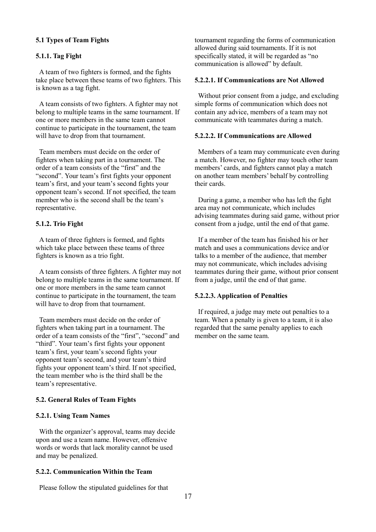# **5.1 Types of Team Fights**

### **5.1.1. Tag Fight**

A team of two fighters is formed, and the fights take place between these teams of two fighters. This is known as a tag fight.

A team consists of two fighters. A fighter may not belong to multiple teams in the same tournament. If one or more members in the same team cannot continue to participate in the tournament, the team will have to drop from that tournament.

Team members must decide on the order of fighters when taking part in a tournament. The order of a team consists of the "first" and the "second". Your team's first fights your opponent team's first, and your team's second fights your opponent team's second. If not specified, the team member who is the second shall be the team's representative.

# **5.1.2. Trio Fight**

A team of three fighters is formed, and fights which take place between these teams of three fighters is known as a trio fight.

A team consists of three fighters. A fighter may not belong to multiple teams in the same tournament. If one or more members in the same team cannot continue to participate in the tournament, the team will have to drop from that tournament.

Team members must decide on the order of fighters when taking part in a tournament. The order of a team consists of the "first", "second" and "third". Your team's first fights your opponent team's first, your team's second fights your opponent team's second, and your team's third fights your opponent team's third. If not specified, the team member who is the third shall be the team's representative.

#### **5.2. General Rules of Team Fights**

#### **5.2.1. Using Team Names**

With the organizer's approval, teams may decide upon and use a team name. However, offensive words or words that lack morality cannot be used and may be penalized.

### **5.2.2. Communication Within the Team**

Please follow the stipulated guidelines for that

tournament regarding the forms of communication allowed during said tournaments. If it is not specifically stated, it will be regarded as "no communication is allowed" by default.

# **5.2.2.1. If Communications are Not Allowed**

Without prior consent from a judge, and excluding simple forms of communication which does not contain any advice, members of a team may not communicate with teammates during a match.

# **5.2.2.2. If Communications are Allowed**

Members of a team may communicate even during a match. However, no fighter may touch other team members' cards, and fighters cannot play a match on another team members' behalf by controlling their cards.

During a game, a member who has left the fight area may not communicate, which includes advising teammates during said game, without prior consent from a judge, until the end of that game.

If a member of the team has finished his or her match and uses a communications device and/or talks to a member of the audience, that member may not communicate, which includes advising teammates during their game, without prior consent from a judge, until the end of that game.

### **5.2.2.3. Application of Penalties**

If required, a judge may mete out penalties to a team. When a penalty is given to a team, it is also regarded that the same penalty applies to each member on the same team.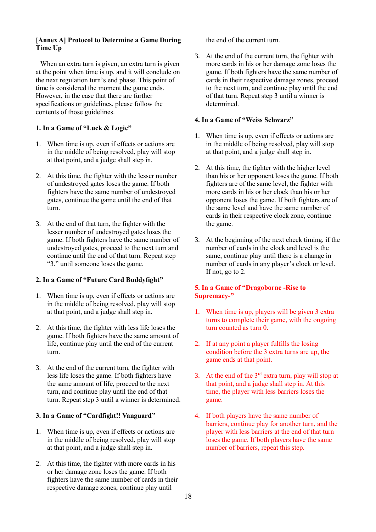# **[Annex A] Protocol to Determine a Game During Time Up**

When an extra turn is given, an extra turn is given at the point when time is up, and it will conclude on the next regulation turn's end phase. This point of time is considered the moment the game ends. However, in the case that there are further specifications or guidelines, please follow the contents of those guidelines.

# **1. In a Game of "Luck & Logic"**

- 1. When time is up, even if effects or actions are in the middle of being resolved, play will stop at that point, and a judge shall step in.
- 2. At this time, the fighter with the lesser number of undestroyed gates loses the game. If both fighters have the same number of undestroyed gates, continue the game until the end of that turn.
- 3. At the end of that turn, the fighter with the lesser number of undestroyed gates loses the game. If both fighters have the same number of undestroyed gates, proceed to the next turn and continue until the end of that turn. Repeat step "3." until someone loses the game.

# **2. In a Game of "Future Card Buddyfight"**

- 1. When time is up, even if effects or actions are in the middle of being resolved, play will stop at that point, and a judge shall step in.
- 2. At this time, the fighter with less life loses the game. If both fighters have the same amount of life, continue play until the end of the current turn.
- 3. At the end of the current turn, the fighter with less life loses the game. If both fighters have the same amount of life, proceed to the next turn, and continue play until the end of that turn. Repeat step 3 until a winner is determined.

# **3. In a Game of "Cardfight!! Vanguard"**

- 1. When time is up, even if effects or actions are in the middle of being resolved, play will stop at that point, and a judge shall step in.
- 2. At this time, the fighter with more cards in his or her damage zone loses the game. If both fighters have the same number of cards in their respective damage zones, continue play until

the end of the current turn.

3. At the end of the current turn, the fighter with more cards in his or her damage zone loses the game. If both fighters have the same number of cards in their respective damage zones, proceed to the next turn, and continue play until the end of that turn. Repeat step 3 until a winner is determined.

# **4. In a Game of "Weiss Schwarz"**

- 1. When time is up, even if effects or actions are in the middle of being resolved, play will stop at that point, and a judge shall step in.
- 2. At this time, the fighter with the higher level than his or her opponent loses the game. If both fighters are of the same level, the fighter with more cards in his or her clock than his or her opponent loses the game. If both fighters are of the same level and have the same number of cards in their respective clock zone, continue the game.
- 3. At the beginning of the next check timing, if the number of cards in the clock and level is the same, continue play until there is a change in number of cards in any player's clock or level. If not, go to 2.

# **5. In a Game of "Dragoborne -Rise to Supremacy-"**

- 1. When time is up, players will be given 3 extra turns to complete their game, with the ongoing turn counted as turn 0.
- 2. If at any point a player fulfills the losing condition before the 3 extra turns are up, the game ends at that point.
- 3. At the end of the  $3<sup>rd</sup>$  extra turn, play will stop at that point, and a judge shall step in. At this time, the player with less barriers loses the game.
- 4. If both players have the same number of barriers, continue play for another turn, and the player with less barriers at the end of that turn loses the game. If both players have the same number of barriers, repeat this step.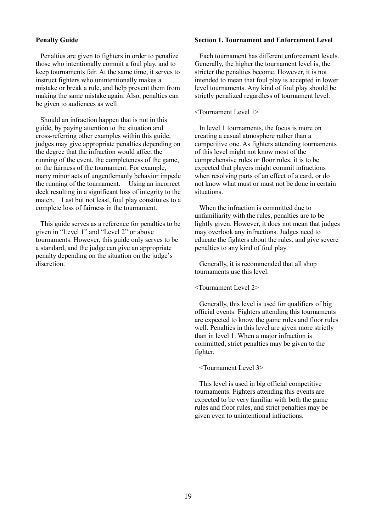# **Penalty Guide**

Penalties are given to fighters in order to penalize those who intentionally commit a foul play, and to keep tournaments fair. At the same time, it serves to instruct fighters who unintentionally makes a mistake or break a rule, and help prevent them from making the same mistake again. Also, penalties can be given to audiences as well.

Should an infraction happen that is not in this guide, by paying attention to the situation and cross-referring other examples within this guide, judges may give appropriate penalties depending on the degree that the infraction would affect the running of the event, the completeness of the game, or the fairness of the tournament. For example, many minor acts of ungentlemanly behavior impede the running of the tournament. Using an incorrect deck resulting in a significant loss of integrity to the match. Last but not least, foul play constitutes to a complete loss of fairness in the tournament.

This guide serves as a reference for penalties to be given in "Level 1" and "Level 2" or above tournaments. However, this guide only serves to be a standard, and the judge can give an appropriate penalty depending on the situation on the judge's discretion.

# **Section 1. Tournament and Enforcement Level**

Each tournament has different enforcement levels. Generally, the higher the tournament level is, the stricter the penalties become. However, it is not intended to mean that foul play is accepted in lower level tournaments. Any kind of foul play should be strictly penalized regardless of tournament level.

#### <Tournament Level 1>

In level 1 tournaments, the focus is more on creating a casual atmosphere rather than a competitive one. As fighters attending tournaments of this level might not know most of the comprehensive rules or floor rules, it is to be expected that players might commit infractions when resolving parts of an effect of a card, or do not know what must or must not be done in certain situations.

When the infraction is committed due to unfamiliarity with the rules, penalties are to be lightly given. However, it does not mean that judges may overlook any infractions. Judges need to educate the fighters about the rules, and give severe penalties to any kind of foul play.

Generally, it is recommended that all shop tournaments use this level.

### <Tournament Level 2>

Generally, this level is used for qualifiers of big official events. Fighters attending this tournaments are expected to know the game rules and floor rules well. Penalties in this level are given more strictly than in level 1. When a major infraction is committed, strict penalties may be given to the fighter.

#### <Tournament Level 3>

This level is used in big official competitive tournaments. Fighters attending this events are expected to be very familiar with both the game rules and floor rules, and strict penalties may be given even to unintentional infractions.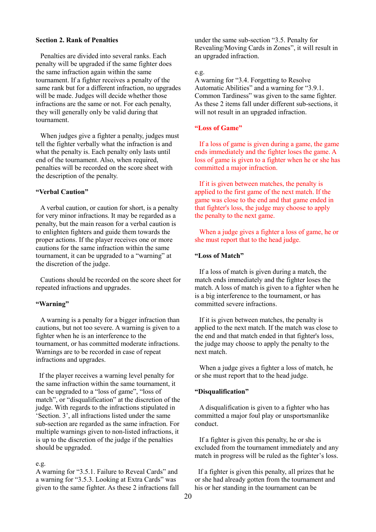# **Section 2. Rank of Penalties**

Penalties are divided into several ranks. Each penalty will be upgraded if the same fighter does the same infraction again within the same tournament. If a fighter receives a penalty of the same rank but for a different infraction, no upgrades will be made. Judges will decide whether those infractions are the same or not. For each penalty, they will generally only be valid during that tournament.

When judges give a fighter a penalty, judges must tell the fighter verbally what the infraction is and what the penalty is. Each penalty only lasts until end of the tournament. Also, when required, penalties will be recorded on the score sheet with the description of the penalty.

# **"Verbal Caution"**

A verbal caution, or caution for short, is a penalty for very minor infractions. It may be regarded as a penalty, but the main reason for a verbal caution is to enlighten fighters and guide them towards the proper actions. If the player receives one or more cautions for the same infraction within the same tournament, it can be upgraded to a "warning" at the discretion of the judge.

Cautions should be recorded on the score sheet for repeated infractions and upgrades.

### **"Warning"**

A warning is a penalty for a bigger infraction than cautions, but not too severe. A warning is given to a fighter when he is an interference to the tournament, or has committed moderate infractions. Warnings are to be recorded in case of repeat infractions and upgrades.

If the player receives a warning level penalty for the same infraction within the same tournament, it can be upgraded to a "loss of game", "loss of match", or "disqualification" at the discretion of the judge. With regards to the infractions stipulated in 'Section. 3', all infractions listed under the same sub-section are regarded as the same infraction. For multiple warnings given to non-listed infractions, it is up to the discretion of the judge if the penalties should be upgraded.

#### e.g.

A warning for "3.5.1. Failure to Reveal Cards" and a warning for "3.5.3. Looking at Extra Cards" was given to the same fighter. As these 2 infractions fall under the same sub-section "3.5. Penalty for Revealing/Moving Cards in Zones", it will result in an upgraded infraction.

#### e.g.

A warning for "3.4. Forgetting to Resolve Automatic Abilities" and a warning for "3.9.1. Common Tardiness" was given to the same fighter. As these 2 items fall under different sub-sections, it will not result in an upgraded infraction.

### **"Loss of Game"**

If a loss of game is given during a game, the game ends immediately and the fighter loses the game. A loss of game is given to a fighter when he or she has committed a major infraction.

If it is given between matches, the penalty is applied to the first game of the next match. If the game was close to the end and that game ended in that fighter's loss, the judge may choose to apply the penalty to the next game.

When a judge gives a fighter a loss of game, he or she must report that to the head judge.

## **"Loss of Match"**

If a loss of match is given during a match, the match ends immediately and the fighter loses the match. A loss of match is given to a fighter when he is a big interference to the tournament, or has committed severe infractions.

If it is given between matches, the penalty is applied to the next match. If the match was close to the end and that match ended in that fighter's loss, the judge may choose to apply the penalty to the next match.

When a judge gives a fighter a loss of match, he or she must report that to the head judge.

#### **"Disqualification"**

A disqualification is given to a fighter who has committed a major foul play or unsportsmanlike conduct.

If a fighter is given this penalty, he or she is excluded from the tournament immediately and any match in progress will be ruled as the fighter's loss.

If a fighter is given this penalty, all prizes that he or she had already gotten from the tournament and his or her standing in the tournament can be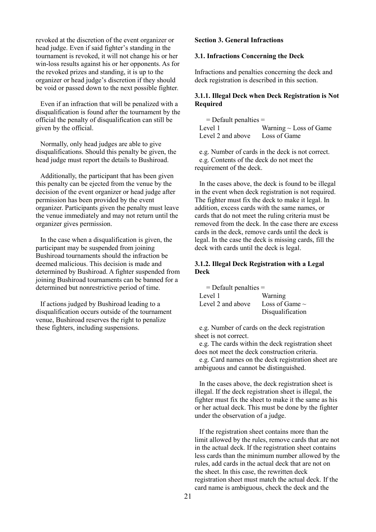revoked at the discretion of the event organizer or head judge. Even if said fighter's standing in the tournament is revoked, it will not change his or her win-loss results against his or her opponents. As for the revoked prizes and standing, it is up to the organizer or head judge's discretion if they should be void or passed down to the next possible fighter.

Even if an infraction that will be penalized with a disqualification is found after the tournament by the official the penalty of disqualification can still be given by the official.

Normally, only head judges are able to give disqualifications. Should this penalty be given, the head judge must report the details to Bushiroad.

Additionally, the participant that has been given this penalty can be ejected from the venue by the decision of the event organizer or head judge after permission has been provided by the event organizer. Participants given the penalty must leave the venue immediately and may not return until the organizer gives permission.

In the case when a disqualification is given, the participant may be suspended from joining Bushiroad tournaments should the infraction be deemed malicious. This decision is made and determined by Bushiroad. A fighter suspended from joining Bushiroad tournaments can be banned for a determined but nonrestrictive period of time.

If actions judged by Bushiroad leading to a disqualification occurs outside of the tournament venue, Bushiroad reserves the right to penalize these fighters, including suspensions.

# **Section 3. General Infractions**

#### **3.1. Infractions Concerning the Deck**

Infractions and penalties concerning the deck and deck registration is described in this section.

# **3.1.1. Illegal Deck when Deck Registration is Not Required**

| $=$ Default penalties $=$ |                             |
|---------------------------|-----------------------------|
| Level 1                   | Warning $\sim$ Loss of Game |
| Level 2 and above         | Loss of Game                |

e.g. Number of cards in the deck is not correct. e.g. Contents of the deck do not meet the requirement of the deck.

In the cases above, the deck is found to be illegal in the event when deck registration is not required. The fighter must fix the deck to make it legal. In addition, excess cards with the same names, or cards that do not meet the ruling criteria must be removed from the deck. In the case there are excess cards in the deck, remove cards until the deck is legal. In the case the deck is missing cards, fill the deck with cards until the deck is legal.

# **3.1.2. Illegal Deck Registration with a Legal Deck**

| $=$ Default penalties $=$ |                     |
|---------------------------|---------------------|
| Level 1                   | Warning             |
| Level 2 and above         | Loss of Game $\sim$ |
|                           | Disqualification    |

e.g. Number of cards on the deck registration sheet is not correct.

e.g. The cards within the deck registration sheet does not meet the deck construction criteria.

e.g. Card names on the deck registration sheet are ambiguous and cannot be distinguished.

In the cases above, the deck registration sheet is illegal. If the deck registration sheet is illegal, the fighter must fix the sheet to make it the same as his or her actual deck. This must be done by the fighter under the observation of a judge.

If the registration sheet contains more than the limit allowed by the rules, remove cards that are not in the actual deck. If the registration sheet contains less cards than the minimum number allowed by the rules, add cards in the actual deck that are not on the sheet. In this case, the rewritten deck registration sheet must match the actual deck. If the card name is ambiguous, check the deck and the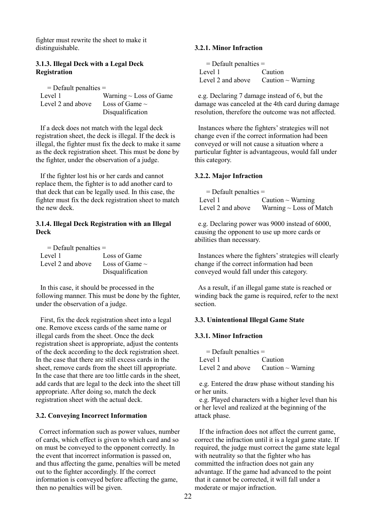fighter must rewrite the sheet to make it distinguishable.

# **3.1.3. Illegal Deck with a Legal Deck Registration**

| $=$ Default penalties $=$ |                             |
|---------------------------|-----------------------------|
| Level 1                   | Warning $\sim$ Loss of Game |
| Level 2 and above         | Loss of Game $\sim$         |
|                           | Disqualification            |

If a deck does not match with the legal deck registration sheet, the deck is illegal. If the deck is illegal, the fighter must fix the deck to make it same as the deck registration sheet. This must be done by the fighter, under the observation of a judge.

If the fighter lost his or her cards and cannot replace them, the fighter is to add another card to that deck that can be legally used. In this case, the fighter must fix the deck registration sheet to match the new deck.

# **3.1.4. Illegal Deck Registration with an Illegal Deck**

| $=$ Default penalties $=$ |                     |  |
|---------------------------|---------------------|--|
| Level 1                   | Loss of Game        |  |
| Level 2 and above         | Loss of Game $\sim$ |  |
|                           | Disqualification    |  |

In this case, it should be processed in the following manner. This must be done by the fighter, under the observation of a judge.

First, fix the deck registration sheet into a legal one. Remove excess cards of the same name or illegal cards from the sheet. Once the deck registration sheet is appropriate, adjust the contents of the deck according to the deck registration sheet. In the case that there are still excess cards in the sheet, remove cards from the sheet till appropriate. In the case that there are too little cards in the sheet, add cards that are legal to the deck into the sheet till appropriate. After doing so, match the deck registration sheet with the actual deck.

# **3.2. Conveying Incorrect Information**

Correct information such as power values, number of cards, which effect is given to which card and so on must be conveyed to the opponent correctly. In the event that incorrect information is passed on, and thus affecting the game, penalties will be meted out to the fighter accordingly. If the correct information is conveyed before affecting the game, then no penalties will be given.

# **3.2.1. Minor Infraction**

| $=$ Default penalties $=$ |                                          |  |
|---------------------------|------------------------------------------|--|
| Level 1                   | Caution                                  |  |
|                           | Level 2 and above Caution $\sim$ Warning |  |

e.g. Declaring 7 damage instead of 6, but the damage was canceled at the 4th card during damage resolution, therefore the outcome was not affected.

Instances where the fighters' strategies will not change even if the correct information had been conveyed or will not cause a situation where a particular fighter is advantageous, would fall under this category.

# **3.2.2. Major Infraction**

| $=$ Default penalties $=$ |                              |
|---------------------------|------------------------------|
| Level 1                   | Caution $\sim$ Warning       |
| Level 2 and above         | Warning $\sim$ Loss of Match |

e.g. Declaring power was 9000 instead of 6000, causing the opponent to use up more cards or abilities than necessary.

Instances where the fighters' strategies will clearly change if the correct information had been conveyed would fall under this category.

As a result, if an illegal game state is reached or winding back the game is required, refer to the next section.

### **3.3. Unintentional Illegal Game State**

# **3.3.1. Minor Infraction**

 $=$  Default penalties  $=$ Level 1 Caution Level 2 and above Caution  $\sim$  Warning

e.g. Entered the draw phase without standing his or her units.

e.g. Played characters with a higher level than his or her level and realized at the beginning of the attack phase.

If the infraction does not affect the current game, correct the infraction until it is a legal game state. If required, the judge must correct the game state legal with neutrality so that the fighter who has committed the infraction does not gain any advantage. If the game had advanced to the point that it cannot be corrected, it will fall under a moderate or major infraction.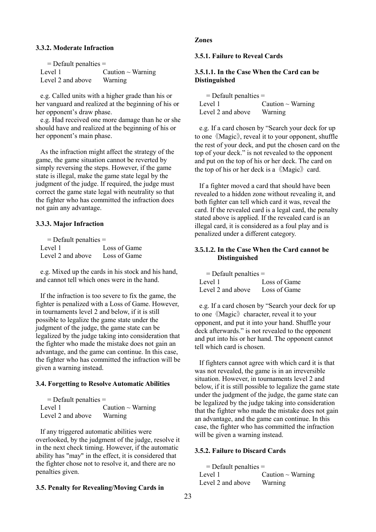### **3.3.2. Moderate Infraction**

| $=$ Default penalties $=$ |                        |
|---------------------------|------------------------|
| Level 1                   | Caution $\sim$ Warning |
| Level 2 and above         | Warning                |

e.g. Called units with a higher grade than his or her vanguard and realized at the beginning of his or her opponent's draw phase.

e.g. Had received one more damage than he or she should have and realized at the beginning of his or her opponent's main phase.

As the infraction might affect the strategy of the game, the game situation cannot be reverted by simply reversing the steps. However, if the game state is illegal, make the game state legal by the judgment of the judge. If required, the judge must correct the game state legal with neutrality so that the fighter who has committed the infraction does not gain any advantage.

### **3.3.3. Major Infraction**

| $=$ Default penalties $=$ |              |
|---------------------------|--------------|
| Level 1                   | Loss of Game |
| Level 2 and above         | Loss of Game |

e.g. Mixed up the cards in his stock and his hand, and cannot tell which ones were in the hand.

If the infraction is too severe to fix the game, the fighter is penalized with a Loss of Game. However, in tournaments level 2 and below, if it is still possible to legalize the game state under the judgment of the judge, the game state can be legalized by the judge taking into consideration that the fighter who made the mistake does not gain an advantage, and the game can continue. In this case, the fighter who has committed the infraction will be given a warning instead.

#### **3.4. Forgetting to Resolve Automatic Abilities**

| $=$ Default penalties $=$ |                        |
|---------------------------|------------------------|
| Level 1                   | Caution $\sim$ Warning |
| Level 2 and above         | Warning                |

If any triggered automatic abilities were overlooked, by the judgment of the judge, resolve it in the next check timing. However, if the automatic ability has "may" in the effect, it is considered that the fighter chose not to resolve it, and there are no penalties given.

### **3.5. Penalty for Revealing/Moving Cards in**

# **Zones**

**3.5.1. Failure to Reveal Cards**

# **3.5.1.1. In the Case When the Card can be Distinguished**

| $=$ Default penalties $=$ |                        |
|---------------------------|------------------------|
| Level 1                   | Caution $\sim$ Warning |
| Level 2 and above         | Warning                |

e.g. If a card chosen by "Search your deck for up to one 《Magic》, reveal it to your opponent, shuffle the rest of your deck, and put the chosen card on the top of your deck." is not revealed to the opponent and put on the top of his or her deck. The card on the top of his or her deck is a  $\langle\langle \text{Magic} \rangle\rangle$  card.

If a fighter moved a card that should have been revealed to a hidden zone without revealing it, and both fighter can tell which card it was, reveal the card. If the revealed card is a legal card, the penalty stated above is applied. If the revealed card is an illegal card, it is considered as a foul play and is penalized under a different category.

# **3.5.1.2. In the Case When the Card cannot be Distinguished**

| $=$ Default penalties $=$      |              |
|--------------------------------|--------------|
| Level 1                        | Loss of Game |
| Level 2 and above Loss of Game |              |

e.g. If a card chosen by "Search your deck for up to one 《Magic》 character, reveal it to your opponent, and put it into your hand. Shuffle your deck afterwards." is not revealed to the opponent and put into his or her hand. The opponent cannot tell which card is chosen.

If fighters cannot agree with which card it is that was not revealed, the game is in an irreversible situation. However, in tournaments level 2 and below, if it is still possible to legalize the game state under the judgment of the judge, the game state can be legalized by the judge taking into consideration that the fighter who made the mistake does not gain an advantage, and the game can continue. In this case, the fighter who has committed the infraction will be given a warning instead.

### **3.5.2. Failure to Discard Cards**

 $=$  Default penalties  $=$ Level 1  $\qquad \qquad$  Caution ~ Warning Level 2 and above Warning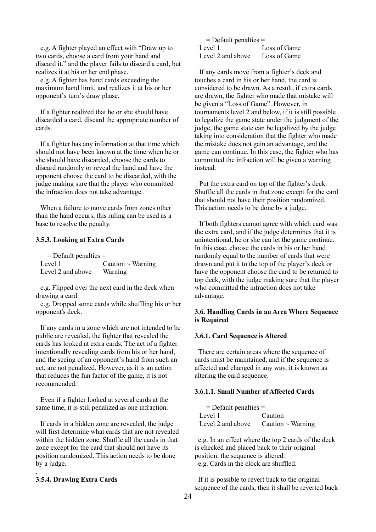e.g. A fighter played an effect with "Draw up to two cards, choose a card from your hand and discard it." and the player fails to discard a card, but realizes it at his or her end phase.

e.g. A fighter has hand cards exceeding the maximum hand limit, and realizes it at his or her opponent's turn's draw phase.

If a fighter realized that he or she should have discarded a card, discard the appropriate number of cards.

If a fighter has any information at that time which should not have been known at the time when he or she should have discarded, choose the cards to discard randomly or reveal the hand and have the opponent choose the card to be discarded, with the judge making sure that the player who committed the infraction does not take advantage.

When a failure to move cards from zones other than the hand occurs, this ruling can be used as a base to resolve the penalty.

### **3.5.3. Looking at Extra Cards**

 = Default penalties = Level 1  $\qquad \qquad$  Caution ~ Warning Level 2 and above Warning

e.g. Flipped over the next card in the deck when drawing a card.

e.g. Dropped some cards while shuffling his or her opponent's deck.

If any cards in a zone which are not intended to be public are revealed, the fighter that revealed the cards has looked at extra cards. The act of a fighter intentionally revealing cards from his or her hand, and the seeing of an opponent's hand from such an act, are not penalized. However, as it is an action that reduces the fun factor of the game, it is not recommended.

Even if a fighter looked at several cards at the same time, it is still penalized as one infraction.

If cards in a hidden zone are revealed, the judge will first determine what cards that are not revealed within the hidden zone. Shuffle all the cards in that zone except for the card that should not have its position randomized. This action needs to be done by a judge.

#### **3.5.4. Drawing Extra Cards**

.

| $=$ Default penalties $=$      |              |
|--------------------------------|--------------|
| Level 1                        | Loss of Game |
| Level 2 and above Loss of Game |              |

If any cards move from a fighter's deck and touches a card in his or her hand, the card is considered to be drawn. As a result, if extra cards are drawn, the fighter who made that mistake will be given a "Loss of Game". However, in tournaments level 2 and below, if it is still possible to legalize the game state under the judgment of the judge, the game state can be legalized by the judge taking into consideration that the fighter who made the mistake does not gain an advantage, and the game can continue. In this case, the fighter who has committed the infraction will be given a warning instead.

Put the extra card on top of the fighter's deck. Shuffle all the cards in that zone except for the card that should not have their position randomized. This action needs to be done by a judge.

If both fighters cannot agree with which card was the extra card, and if the judge determines that it is unintentional, he or she can let the game continue. In this case, choose the cards in his or her hand randomly equal to the number of cards that were drawn and put it to the top of the player's deck or have the opponent choose the card to be returned to top deck, with the judge making sure that the player who committed the infraction does not take advantage.

# **3.6. Handling Cards in an Area Where Sequence is Required**

### **3.6.1. Card Sequence is Altered**

There are certain areas where the sequence of cards must be maintained, and if the sequence is affected and changed in any way, it is known as altering the card sequence.

# **3.6.1.1. Small Number of Affected Cards**

| $=$ Default penalties $=$ |                                          |
|---------------------------|------------------------------------------|
| Level 1                   | Caution                                  |
|                           | Level 2 and above Caution $\sim$ Warning |

e.g. In an effect where the top 2 cards of the deck is checked and placed back to their original position, the sequence is altered. e.g. Cards in the clock are shuffled.

If it is possible to revert back to the original sequence of the cards, then it shall be reverted back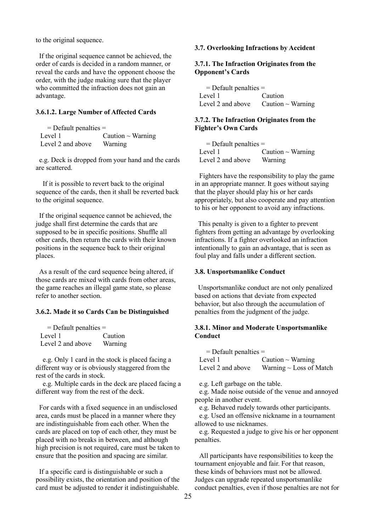to the original sequence.

If the original sequence cannot be achieved, the order of cards is decided in a random manner, or reveal the cards and have the opponent choose the order, with the judge making sure that the player who committed the infraction does not gain an advantage.

# **3.6.1.2. Large Number of Affected Cards**

| $=$ Default penalties $=$ |                        |
|---------------------------|------------------------|
| Level 1                   | Caution $\sim$ Warning |
| Level 2 and above         | Warning                |

e.g. Deck is dropped from your hand and the cards are scattered.

If it is possible to revert back to the original sequence of the cards, then it shall be reverted back to the original sequence.

If the original sequence cannot be achieved, the judge shall first determine the cards that are supposed to be in specific positions. Shuffle all other cards, then return the cards with their known positions in the sequence back to their original places.

As a result of the card sequence being altered, if those cards are mixed with cards from other areas, the game reaches an illegal game state, so please refer to another section.

### **3.6.2. Made it so Cards Can be Distinguished**

| $=$ Default penalties $=$ |         |
|---------------------------|---------|
| Level 1                   | Caution |
| Level 2 and above         | Warning |

e.g. Only 1 card in the stock is placed facing a different way or is obviously staggered from the rest of the cards in stock.

 e.g. Multiple cards in the deck are placed facing a different way from the rest of the deck.

For cards with a fixed sequence in an undisclosed area, cards must be placed in a manner where they are indistinguishable from each other. When the cards are placed on top of each other, they must be placed with no breaks in between, and although high precision is not required, care must be taken to ensure that the position and spacing are similar.

If a specific card is distinguishable or such a possibility exists, the orientation and position of the card must be adjusted to render it indistinguishable.

## **3.7. Overlooking Infractions by Accident**

# **3.7.1. The Infraction Originates from the Opponent's Cards**

= Default penalties = Level 1 Caution Level 2 and above  $\Gamma$  Caution ~ Warning

## **3.7.2. The Infraction Originates from the Fighter's Own Cards**

= Default penalties = Level 1  $\qquad \qquad$  Caution ~ Warning Level 2 and above Warning

Fighters have the responsibility to play the game in an appropriate manner. It goes without saying that the player should play his or her cards appropriately, but also cooperate and pay attention to his or her opponent to avoid any infractions.

This penalty is given to a fighter to prevent fighters from getting an advantage by overlooking infractions. If a fighter overlooked an infraction intentionally to gain an advantage, that is seen as foul play and falls under a different section.

#### **3.8. Unsportsmanlike Conduct**

Unsportsmanlike conduct are not only penalized based on actions that deviate from expected behavior, but also through the accumulation of penalties from the judgment of the judge.

# **3.8.1. Minor and Moderate Unsportsmanlike Conduct**

| $=$ Default penalties $=$ |                              |
|---------------------------|------------------------------|
| Level 1                   | Caution $\sim$ Warning       |
| Level 2 and above         | Warning $\sim$ Loss of Match |

e.g. Left garbage on the table.

e.g. Made noise outside of the venue and annoyed people in another event.

e.g. Behaved rudely towards other participants.

e.g. Used an offensive nickname in a tournament allowed to use nicknames.

e.g. Requested a judge to give his or her opponent penalties.

All participants have responsibilities to keep the tournament enjoyable and fair. For that reason, these kinds of behaviors must not be allowed. Judges can upgrade repeated unsportsmanlike conduct penalties, even if those penalties are not for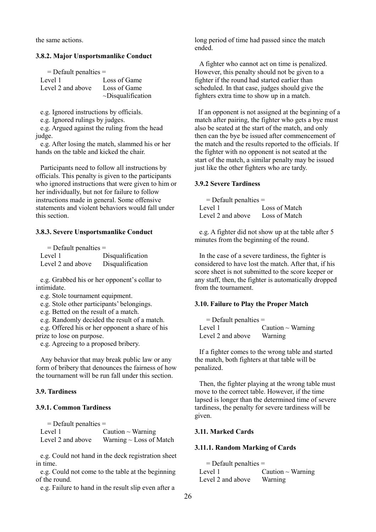the same actions.

#### **3.8.2. Major Unsportsmanlike Conduct**

| $=$ Default penalties $=$ |                         |
|---------------------------|-------------------------|
| Level 1                   | Loss of Game            |
| Level 2 and above         | Loss of Game            |
|                           | $\sim$ Disqualification |

e.g. Ignored instructions by officials.

e.g. Ignored rulings by judges.

e.g. Argued against the ruling from the head judge.

e.g. After losing the match, slammed his or her hands on the table and kicked the chair.

Participants need to follow all instructions by officials. This penalty is given to the participants who ignored instructions that were given to him or her individually, but not for failure to follow instructions made in general. Some offensive statements and violent behaviors would fall under this section.

#### **3.8.3. Severe Unsportsmanlike Conduct**

| $=$ Default penalties $=$ |                  |
|---------------------------|------------------|
| Level 1                   | Disqualification |
| Level 2 and above         | Disqualification |

e.g. Grabbed his or her opponent's collar to intimidate.

e.g. Stole tournament equipment.

e.g. Stole other participants' belongings.

e.g. Betted on the result of a match.

e.g. Randomly decided the result of a match.

e.g. Offered his or her opponent a share of his prize to lose on purpose.

e.g. Agreeing to a proposed bribery.

Any behavior that may break public law or any form of bribery that denounces the fairness of how the tournament will be run fall under this section.

#### **3.9. Tardiness**

#### **3.9.1. Common Tardiness**

 $=$  Default penalties  $=$ Level 1  $\qquad \qquad$  Caution ~ Warning Level 2 and above Warning  $\sim$  Loss of Match

e.g. Could not hand in the deck registration sheet in time.

e.g. Could not come to the table at the beginning of the round.

e.g. Failure to hand in the result slip even after a

long period of time had passed since the match ended.

A fighter who cannot act on time is penalized. However, this penalty should not be given to a fighter if the round had started earlier than scheduled. In that case, judges should give the fighters extra time to show up in a match.

If an opponent is not assigned at the beginning of a match after pairing, the fighter who gets a bye must also be seated at the start of the match, and only then can the bye be issued after commencement of the match and the results reported to the officials. If the fighter with no opponent is not seated at the start of the match, a similar penalty may be issued just like the other fighters who are tardy.

# **3.9.2 Severe Tardiness**

= Default penalties = Level 1 Loss of Match Level 2 and above Loss of Match

e.g. A fighter did not show up at the table after 5 minutes from the beginning of the round.

In the case of a severe tardiness, the fighter is considered to have lost the match. After that, if his score sheet is not submitted to the score keeper or any staff, then, the fighter is automatically dropped from the tournament.

### **3.10. Failure to Play the Proper Match**

| $=$ Default penalties $=$ |                        |
|---------------------------|------------------------|
| Level 1                   | Caution $\sim$ Warning |
| Level 2 and above         | Warning                |

If a fighter comes to the wrong table and started the match, both fighters at that table will be penalized.

Then, the fighter playing at the wrong table must move to the correct table. However, if the time lapsed is longer than the determined time of severe tardiness, the penalty for severe tardiness will be given.

# **3.11. Marked Cards**

### **3.11.1. Random Marking of Cards**

= Default penalties = Level 1  $\qquad \qquad$  Caution ~ Warning Level 2 and above Warning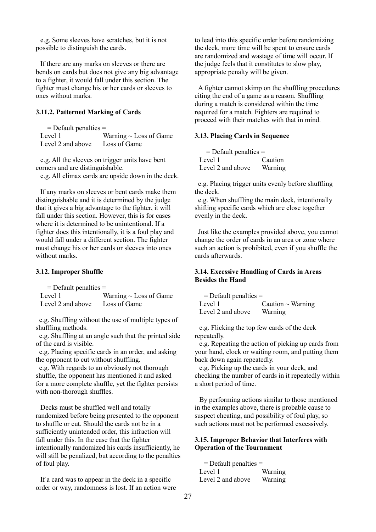e.g. Some sleeves have scratches, but it is not possible to distinguish the cards.

If there are any marks on sleeves or there are bends on cards but does not give any big advantage to a fighter, it would fall under this section. The fighter must change his or her cards or sleeves to ones without marks.

### **3.11.2. Patterned Marking of Cards**

| $=$ Default penalties $=$ |                             |
|---------------------------|-----------------------------|
| Level 1                   | Warning $\sim$ Loss of Game |
| Level 2 and above         | Loss of Game                |

e.g. All the sleeves on trigger units have bent corners and are distinguishable.

e.g. All climax cards are upside down in the deck.

If any marks on sleeves or bent cards make them distinguishable and it is determined by the judge that it gives a big advantage to the fighter, it will fall under this section. However, this is for cases where it is determined to be unintentional. If a fighter does this intentionally, it is a foul play and would fall under a different section. The fighter must change his or her cards or sleeves into ones without marks.

#### **3.12. Improper Shuffle**

 $=$  Default penalties  $=$ Level 1 Warning  $\sim$  Loss of Game Level 2 and above Loss of Game

e.g. Shuffling without the use of multiple types of shuffling methods.

e.g. Shuffling at an angle such that the printed side of the card is visible.

e.g. Placing specific cards in an order, and asking the opponent to cut without shuffling.

e.g. With regards to an obviously not thorough shuffle, the opponent has mentioned it and asked for a more complete shuffle, yet the fighter persists with non-thorough shuffles.

Decks must be shuffled well and totally randomized before being presented to the opponent to shuffle or cut. Should the cards not be in a sufficiently unintended order, this infraction will fall under this. In the case that the fighter intentionally randomized his cards insufficiently, he will still be penalized, but according to the penalties of foul play.

If a card was to appear in the deck in a specific order or way, randomness is lost. If an action were to lead into this specific order before randomizing the deck, more time will be spent to ensure cards are randomized and wastage of time will occur. If the judge feels that it constitutes to slow play, appropriate penalty will be given.

A fighter cannot skimp on the shuffling procedures citing the end of a game as a reason. Shuffling during a match is considered within the time required for a match. Fighters are required to proceed with their matches with that in mind.

### **3.13. Placing Cards in Sequence**

| $=$ Default penalties $=$ |         |
|---------------------------|---------|
| Level 1                   | Caution |
| Level 2 and above         | Warning |

e.g. Placing trigger units evenly before shuffling the deck.

e.g. When shuffling the main deck, intentionally shifting specific cards which are close together evenly in the deck.

Just like the examples provided above, you cannot change the order of cards in an area or zone where such an action is prohibited, even if you shuffle the cards afterwards.

# **3.14. Excessive Handling of Cards in Areas Besides the Hand**

| $=$ Default penalties $=$ |                        |
|---------------------------|------------------------|
| Level 1                   | Caution $\sim$ Warning |
| Level 2 and above         | Warning                |

e.g. Flicking the top few cards of the deck repeatedly.

e.g. Repeating the action of picking up cards from your hand, clock or waiting room, and putting them back down again repeatedly.

e.g. Picking up the cards in your deck, and checking the number of cards in it repeatedly within a short period of time.

By performing actions similar to those mentioned in the examples above, there is probable cause to suspect cheating, and possibility of foul play, so such actions must not be performed excessively.

# **3.15. Improper Behavior that Interferes with Operation of the Tournament**

 = Default penalties = Level 1 Warning Level 2 and above Warning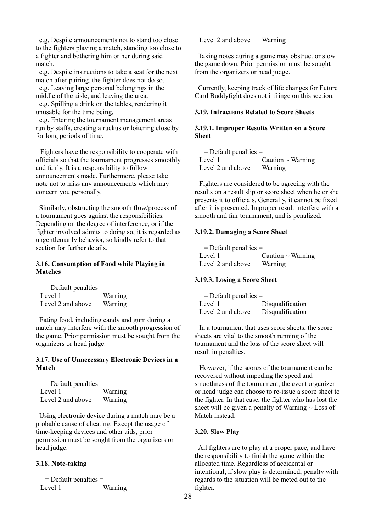e.g. Despite announcements not to stand too close to the fighters playing a match, standing too close to a fighter and bothering him or her during said match.

e.g. Despite instructions to take a seat for the next match after pairing, the fighter does not do so.

e.g. Leaving large personal belongings in the middle of the aisle, and leaving the area.

e.g. Spilling a drink on the tables, rendering it unusable for the time being.

e.g. Entering the tournament management areas run by staffs, creating a ruckus or loitering close by for long periods of time.

Fighters have the responsibility to cooperate with officials so that the tournament progresses smoothly and fairly. It is a responsibility to follow announcements made. Furthermore, please take note not to miss any announcements which may concern you personally.

Similarly, obstructing the smooth flow/process of a tournament goes against the responsibilities. Depending on the degree of interference, or if the fighter involved admits to doing so, it is regarded as ungentlemanly behavior, so kindly refer to that section for further details.

# **3.16. Consumption of Food while Playing in Matches**

 = Default penalties = Level 1 Warning Level 2 and above Warning

Eating food, including candy and gum during a match may interfere with the smooth progression of the game. Prior permission must be sought from the organizers or head judge.

# **3.17. Use of Unnecessary Electronic Devices in a Match**

| $=$ Default penalties $=$ |         |
|---------------------------|---------|
| Level 1                   | Warning |
| Level 2 and above         | Warning |

Using electronic device during a match may be a probable cause of cheating. Except the usage of time-keeping devices and other aids, prior permission must be sought from the organizers or head judge.

### **3.18. Note-taking**

 = Default penalties = Level 1 Warning Level 2 and above Warning

Taking notes during a game may obstruct or slow the game down. Prior permission must be sought from the organizers or head judge.

Currently, keeping track of life changes for Future Card Buddyfight does not infringe on this section.

# **3.19. Infractions Related to Score Sheets**

# **3.19.1. Improper Results Written on a Score Sheet**

| $=$ Default penalties $=$ |                        |
|---------------------------|------------------------|
| Level 1                   | Caution $\sim$ Warning |
| Level 2 and above         | Warning                |

Fighters are considered to be agreeing with the results on a result slip or score sheet when he or she presents it to officials. Generally, it cannot be fixed after it is presented. Improper result interfere with a smooth and fair tournament, and is penalized.

### **3.19.2. Damaging a Score Sheet**

| $=$ Default penalties $=$ |                        |
|---------------------------|------------------------|
| Level 1                   | Caution $\sim$ Warning |
| Level 2 and above         | Warning                |

# **3.19.3. Losing a Score Sheet**

| $=$ Default penalties $=$ |                  |
|---------------------------|------------------|
| Level 1                   | Disqualification |
| Level 2 and above         | Disqualification |

In a tournament that uses score sheets, the score sheets are vital to the smooth running of the tournament and the loss of the score sheet will result in penalties.

However, if the scores of the tournament can be recovered without impeding the speed and smoothness of the tournament, the event organizer or head judge can choose to re-issue a score sheet to the fighter. In that case, the fighter who has lost the sheet will be given a penalty of Warning  $\sim$  Loss of Match instead.

#### **3.20. Slow Play**

All fighters are to play at a proper pace, and have the responsibility to finish the game within the allocated time. Regardless of accidental or intentional, if slow play is determined, penalty with regards to the situation will be meted out to the fighter.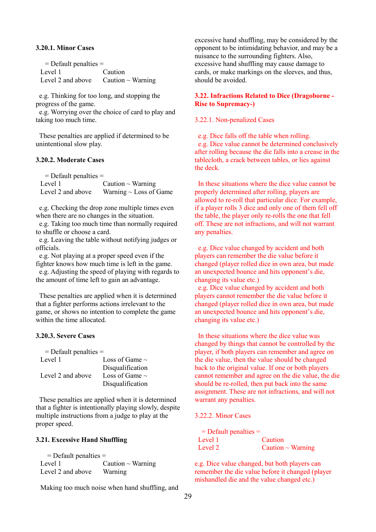### **3.20.1. Minor Cases**

| $=$ Default penalties $=$ |                                                   |  |
|---------------------------|---------------------------------------------------|--|
| Level 1                   | Caution                                           |  |
|                           | Level 2 and above $\qquad$ Caution $\sim$ Warning |  |

e.g. Thinking for too long, and stopping the progress of the game.

e.g. Worrying over the choice of card to play and taking too much time.

These penalties are applied if determined to be unintentional slow play.

## **3.20.2. Moderate Cases**

| $=$ Default penalties $=$ |                             |
|---------------------------|-----------------------------|
| Level 1                   | Caution $\sim$ Warning      |
| Level 2 and above         | Warning $\sim$ Loss of Game |

e.g. Checking the drop zone multiple times even when there are no changes in the situation.

e.g. Taking too much time than normally required to shuffle or choose a card.

e.g. Leaving the table without notifying judges or officials.

e.g. Not playing at a proper speed even if the fighter knows how much time is left in the game.

e.g. Adjusting the speed of playing with regards to the amount of time left to gain an advantage.

These penalties are applied when it is determined that a fighter performs actions irrelevant to the game, or shows no intention to complete the game within the time allocated.

### **3.20.3. Severe Cases**

| $=$ Default penalties $=$ |                     |
|---------------------------|---------------------|
| Level 1                   | Loss of Game $\sim$ |
|                           | Disqualification    |
| Level 2 and above         | Loss of Game $\sim$ |
|                           | Disqualification    |

These penalties are applied when it is determined that a fighter is intentionally playing slowly, despite multiple instructions from a judge to play at the proper speed.

# **3.21. Excessive Hand Shuffling**

| $=$ Default penalties $=$ |                        |
|---------------------------|------------------------|
| Level 1                   | Caution $\sim$ Warning |
| Level 2 and above         | Warning                |

Making too much noise when hand shuffling, and

excessive hand shuffling, may be considered by the opponent to be intimidating behavior, and may be a nuisance to the surrounding fighters. Also, excessive hand shuffling may cause damage to cards, or make markings on the sleeves, and thus, should be avoided.

# **3.22. Infractions Related to Dice (Dragoborne - Rise to Supremacy-)**

### 3.22.1. Non-penalized Cases

e.g. Dice falls off the table when rolling. e.g. Dice value cannot be determined conclusively after rolling because the die falls into a crease in the tablecloth, a crack between tables, or lies against the deck.

In these situations where the dice value cannot be properly determined after rolling, players are allowed to re-roll that particular dice. For example, if a player rolls 3 dice and only one of them fell off the table, the player only re-rolls the one that fell off. These are not infractions, and will not warrant any penalties.

e.g. Dice value changed by accident and both players can remember the die value before it changed (player rolled dice in own area, but made an unexpected bounce and hits opponent's die, changing its value etc.)

e.g. Dice value changed by accident and both players cannot remember the die value before it changed (player rolled dice in own area, but made an unexpected bounce and hits opponent's die, changing its value etc.)

In these situations where the dice value was changed by things that cannot be controlled by the player, if both players can remember and agree on the die value, then the value should be changed back to the original value. If one or both players cannot remember and agree on the die value, the die should be re-rolled, then put back into the same assignment. These are not infractions, and will not warrant any penalties.

#### 3.22.2. Minor Cases

| $=$ Default penalties $=$ |                        |
|---------------------------|------------------------|
| Level 1                   | Caution                |
| Level 2                   | Caution $\sim$ Warning |

e.g. Dice value changed, but both players can remember the die value before it changed (player mishandled die and the value changed etc.)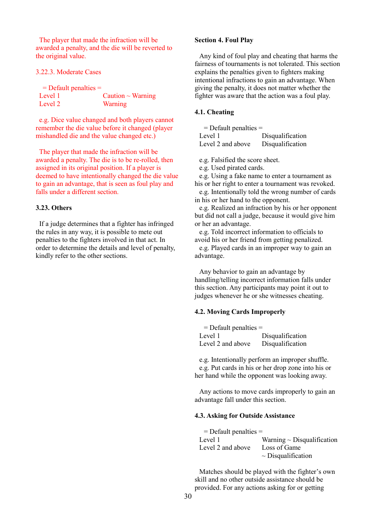The player that made the infraction will be awarded a penalty, and the die will be reverted to the original value.

3.22.3. Moderate Cases

| $=$ Default penalties $=$ |                        |
|---------------------------|------------------------|
| Level 1                   | Caution $\sim$ Warning |
| Level 2                   | Warning                |

e.g. Dice value changed and both players cannot remember the die value before it changed (player mishandled die and the value changed etc.)

The player that made the infraction will be awarded a penalty. The die is to be re-rolled, then assigned in its original position. If a player is deemed to have intentionally changed the die value to gain an advantage, that is seen as foul play and falls under a different section.

# **3.23. Others**

If a judge determines that a fighter has infringed the rules in any way, it is possible to mete out penalties to the fighters involved in that act. In order to determine the details and level of penalty, kindly refer to the other sections.

### **Section 4. Foul Play**

Any kind of foul play and cheating that harms the fairness of tournaments is not tolerated. This section explains the penalties given to fighters making intentional infractions to gain an advantage. When giving the penalty, it does not matter whether the fighter was aware that the action was a foul play.

# **4.1. Cheating**

| $=$ Default penalties $=$ |                  |
|---------------------------|------------------|
| Level 1                   | Disqualification |
| Level 2 and above         | Disqualification |

e.g. Falsified the score sheet.

e.g. Used pirated cards.

e.g. Using a fake name to enter a tournament as his or her right to enter a tournament was revoked.

e.g. Intentionally told the wrong number of cards in his or her hand to the opponent.

e.g. Realized an infraction by his or her opponent but did not call a judge, because it would give him or her an advantage.

e.g. Told incorrect information to officials to avoid his or her friend from getting penalized.

e.g. Played cards in an improper way to gain an advantage.

Any behavior to gain an advantage by handling/telling incorrect information falls under this section. Any participants may point it out to judges whenever he or she witnesses cheating.

## **4.2. Moving Cards Improperly**

| $=$ Default penalties $=$ |                  |
|---------------------------|------------------|
| Level 1                   | Disqualification |
| Level 2 and above         | Disqualification |

e.g. Intentionally perform an improper shuffle. e.g. Put cards in his or her drop zone into his or her hand while the opponent was looking away.

Any actions to move cards improperly to gain an advantage fall under this section.

### **4.3. Asking for Outside Assistance**

| $=$ Default penalties $=$ |                                 |
|---------------------------|---------------------------------|
| Level 1                   | Warning $\sim$ Disqualification |
| Level 2 and above         | Loss of Game                    |
|                           | $\sim$ Disqualification         |

Matches should be played with the fighter's own skill and no other outside assistance should be provided. For any actions asking for or getting